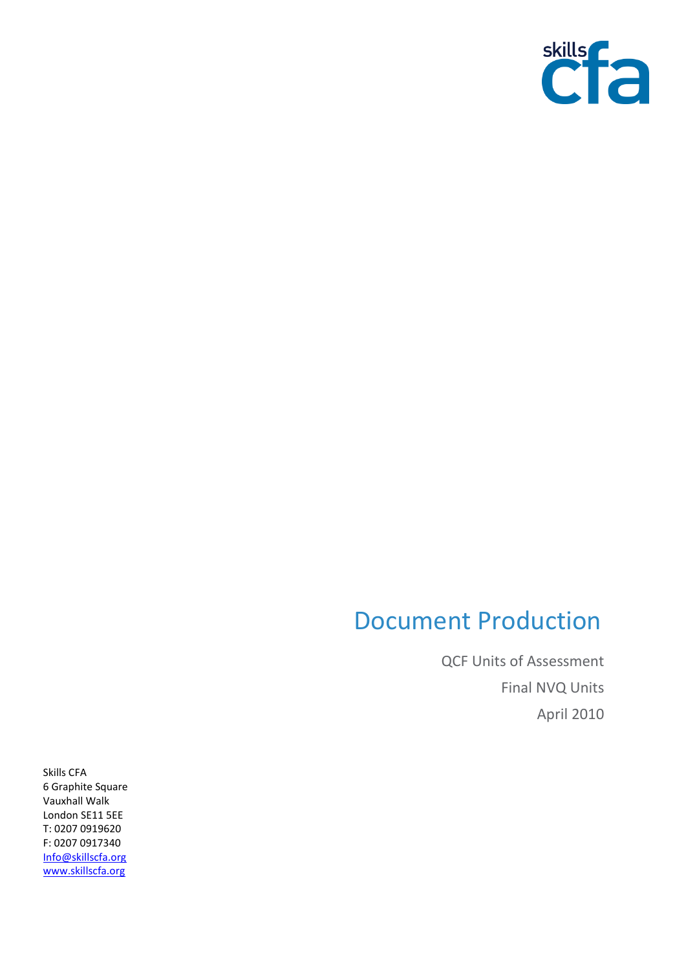

## Document Production

QCF Units of Assessment Final NVQ Units April 2010

Skills CFA 6 Graphite Square Vauxhall Walk London SE11 5EE T: 0207 0919620 F: 0207 0917340 [Info@skillscfa.org](mailto:Info@skillscfa.org) [www.skillscfa.org](http://www.skillscfa.org/)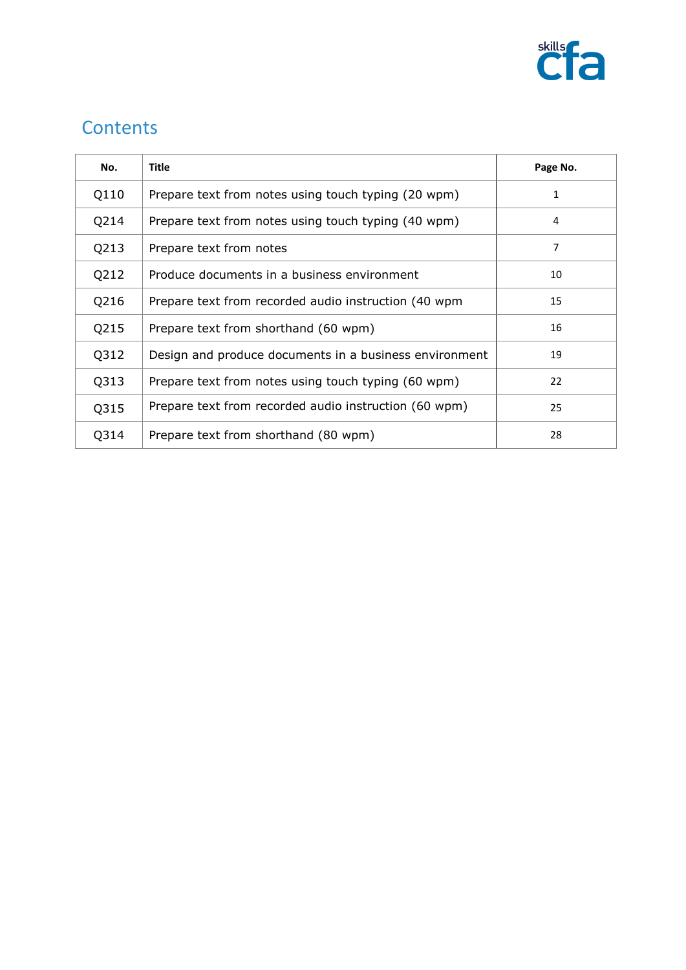

## **Contents**

| No.  | <b>Title</b>                                           | Page No. |
|------|--------------------------------------------------------|----------|
| Q110 | Prepare text from notes using touch typing (20 wpm)    | 1        |
| Q214 | Prepare text from notes using touch typing (40 wpm)    | 4        |
| Q213 | Prepare text from notes                                | 7        |
| Q212 | Produce documents in a business environment            | 10       |
| Q216 | Prepare text from recorded audio instruction (40 wpm   | 15       |
| Q215 | Prepare text from shorthand (60 wpm)                   | 16       |
| Q312 | Design and produce documents in a business environment | 19       |
| Q313 | Prepare text from notes using touch typing (60 wpm)    | 22       |
| Q315 | Prepare text from recorded audio instruction (60 wpm)  | 25       |
| Q314 | Prepare text from shorthand (80 wpm)                   | 28       |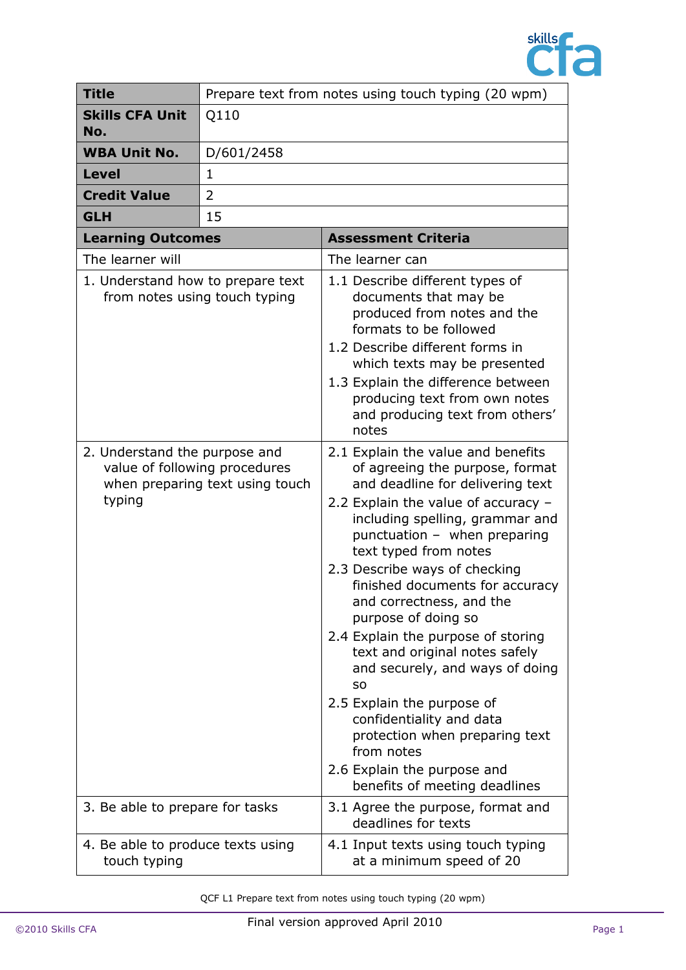

| <b>Title</b>                                                                                                | Prepare text from notes using touch typing (20 wpm) |                                                                                                                                                                                                                                                                                                                                                                                                                                                                                                                                                                                                                                                                       |
|-------------------------------------------------------------------------------------------------------------|-----------------------------------------------------|-----------------------------------------------------------------------------------------------------------------------------------------------------------------------------------------------------------------------------------------------------------------------------------------------------------------------------------------------------------------------------------------------------------------------------------------------------------------------------------------------------------------------------------------------------------------------------------------------------------------------------------------------------------------------|
| <b>Skills CFA Unit</b><br>No.                                                                               | Q110                                                |                                                                                                                                                                                                                                                                                                                                                                                                                                                                                                                                                                                                                                                                       |
| <b>WBA Unit No.</b>                                                                                         | D/601/2458                                          |                                                                                                                                                                                                                                                                                                                                                                                                                                                                                                                                                                                                                                                                       |
| <b>Level</b>                                                                                                | $\mathbf{1}$                                        |                                                                                                                                                                                                                                                                                                                                                                                                                                                                                                                                                                                                                                                                       |
| <b>Credit Value</b>                                                                                         | 2                                                   |                                                                                                                                                                                                                                                                                                                                                                                                                                                                                                                                                                                                                                                                       |
| <b>GLH</b>                                                                                                  | 15                                                  |                                                                                                                                                                                                                                                                                                                                                                                                                                                                                                                                                                                                                                                                       |
| <b>Learning Outcomes</b>                                                                                    |                                                     | <b>Assessment Criteria</b>                                                                                                                                                                                                                                                                                                                                                                                                                                                                                                                                                                                                                                            |
| The learner will                                                                                            |                                                     | The learner can                                                                                                                                                                                                                                                                                                                                                                                                                                                                                                                                                                                                                                                       |
| 1. Understand how to prepare text<br>from notes using touch typing                                          |                                                     | 1.1 Describe different types of<br>documents that may be<br>produced from notes and the<br>formats to be followed<br>1.2 Describe different forms in<br>which texts may be presented<br>1.3 Explain the difference between<br>producing text from own notes<br>and producing text from others'<br>notes                                                                                                                                                                                                                                                                                                                                                               |
| 2. Understand the purpose and<br>value of following procedures<br>when preparing text using touch<br>typing |                                                     | 2.1 Explain the value and benefits<br>of agreeing the purpose, format<br>and deadline for delivering text<br>2.2 Explain the value of accuracy -<br>including spelling, grammar and<br>punctuation - when preparing<br>text typed from notes<br>2.3 Describe ways of checking<br>finished documents for accuracy<br>and correctness, and the<br>purpose of doing so<br>2.4 Explain the purpose of storing<br>text and original notes safely<br>and securely, and ways of doing<br><b>SO</b><br>2.5 Explain the purpose of<br>confidentiality and data<br>protection when preparing text<br>from notes<br>2.6 Explain the purpose and<br>benefits of meeting deadlines |
| 3. Be able to prepare for tasks                                                                             |                                                     | 3.1 Agree the purpose, format and<br>deadlines for texts                                                                                                                                                                                                                                                                                                                                                                                                                                                                                                                                                                                                              |
| 4. Be able to produce texts using<br>touch typing                                                           |                                                     | 4.1 Input texts using touch typing<br>at a minimum speed of 20                                                                                                                                                                                                                                                                                                                                                                                                                                                                                                                                                                                                        |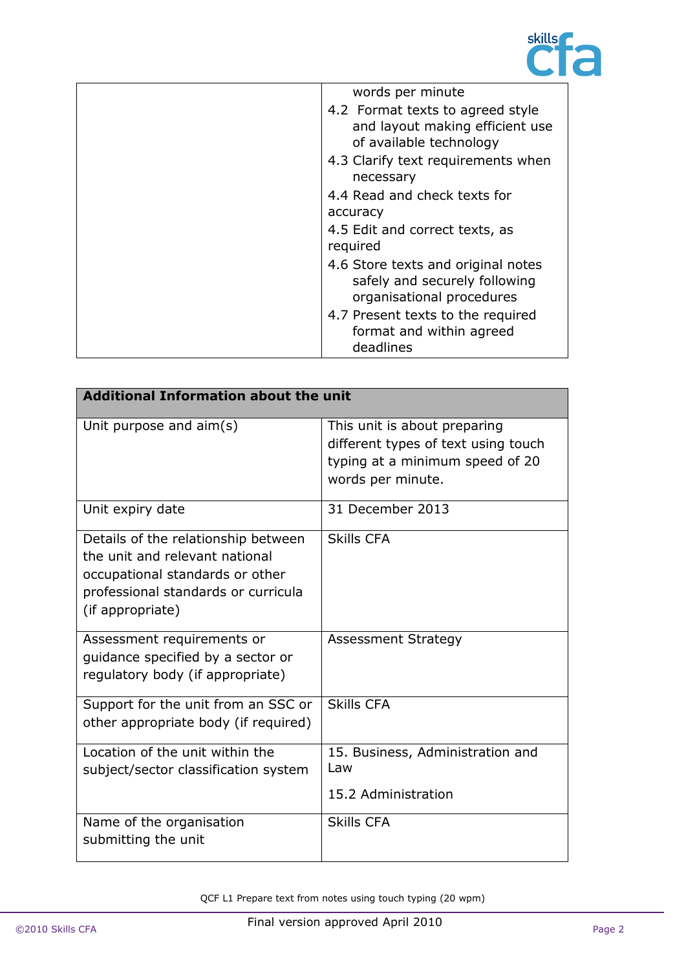

| words per minute                                                                                 |
|--------------------------------------------------------------------------------------------------|
| 4.2 Format texts to agreed style<br>and layout making efficient use<br>of available technology   |
| 4.3 Clarify text requirements when<br>necessary                                                  |
| 4.4 Read and check texts for                                                                     |
| accuracy                                                                                         |
| 4.5 Edit and correct texts, as<br>required                                                       |
| 4.6 Store texts and original notes<br>safely and securely following<br>organisational procedures |
| 4.7 Present texts to the required<br>format and within agreed<br>deadlines                       |

| <b>Additional Information about the unit</b>                                                                                                                        |                                                                                                                             |  |
|---------------------------------------------------------------------------------------------------------------------------------------------------------------------|-----------------------------------------------------------------------------------------------------------------------------|--|
| Unit purpose and $aim(s)$                                                                                                                                           | This unit is about preparing<br>different types of text using touch<br>typing at a minimum speed of 20<br>words per minute. |  |
| Unit expiry date                                                                                                                                                    | 31 December 2013                                                                                                            |  |
| Details of the relationship between<br>the unit and relevant national<br>occupational standards or other<br>professional standards or curricula<br>(if appropriate) | <b>Skills CFA</b>                                                                                                           |  |
| Assessment requirements or<br>quidance specified by a sector or<br>regulatory body (if appropriate)                                                                 | <b>Assessment Strategy</b>                                                                                                  |  |
| Support for the unit from an SSC or<br>other appropriate body (if required)                                                                                         | <b>Skills CFA</b>                                                                                                           |  |
| Location of the unit within the<br>subject/sector classification system                                                                                             | 15. Business, Administration and<br>Law<br>15.2 Administration                                                              |  |
| Name of the organisation<br>submitting the unit                                                                                                                     | <b>Skills CFA</b>                                                                                                           |  |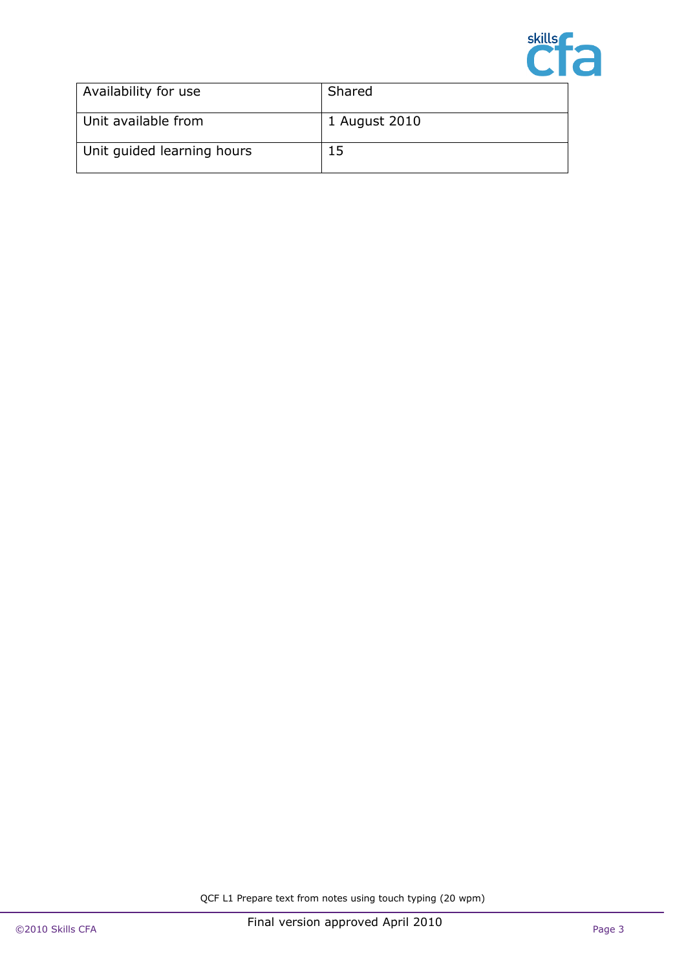

| Availability for use       | Shared        |
|----------------------------|---------------|
| Unit available from        | 1 August 2010 |
| Unit quided learning hours | 15            |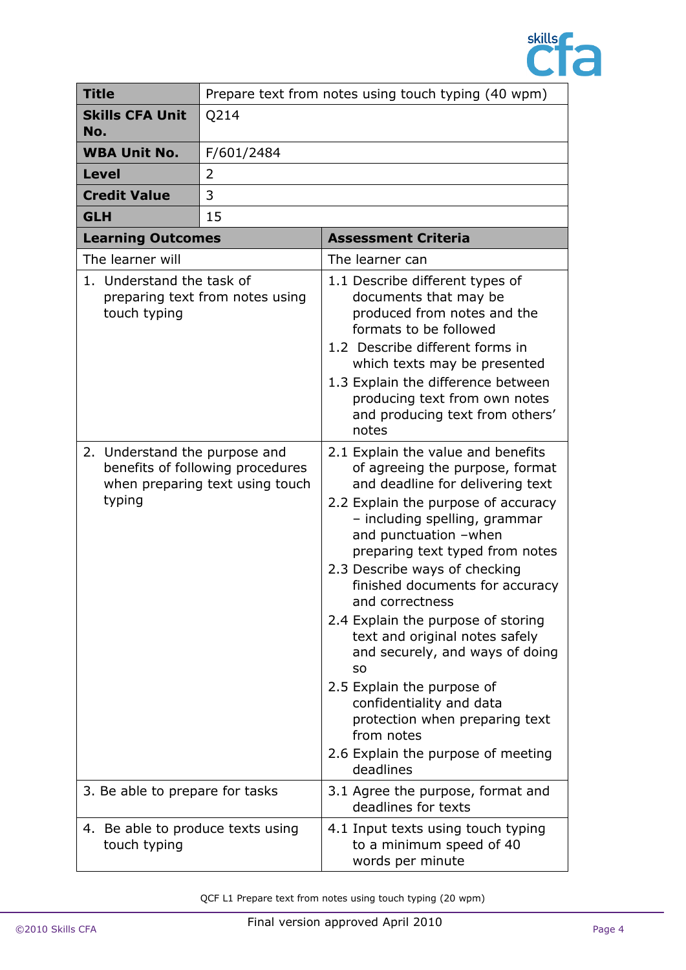

| <b>Title</b>                                                                                                      | Prepare text from notes using touch typing (40 wpm) |                                                                                                                                                                                                                                                                                                                                                                                                                                                                                                                                                                                                                    |  |
|-------------------------------------------------------------------------------------------------------------------|-----------------------------------------------------|--------------------------------------------------------------------------------------------------------------------------------------------------------------------------------------------------------------------------------------------------------------------------------------------------------------------------------------------------------------------------------------------------------------------------------------------------------------------------------------------------------------------------------------------------------------------------------------------------------------------|--|
| <b>Skills CFA Unit</b><br>No.                                                                                     | Q214                                                |                                                                                                                                                                                                                                                                                                                                                                                                                                                                                                                                                                                                                    |  |
| <b>WBA Unit No.</b>                                                                                               | F/601/2484                                          |                                                                                                                                                                                                                                                                                                                                                                                                                                                                                                                                                                                                                    |  |
| <b>Level</b>                                                                                                      | $\overline{2}$                                      |                                                                                                                                                                                                                                                                                                                                                                                                                                                                                                                                                                                                                    |  |
| <b>Credit Value</b>                                                                                               | 3                                                   |                                                                                                                                                                                                                                                                                                                                                                                                                                                                                                                                                                                                                    |  |
| <b>GLH</b>                                                                                                        | 15                                                  |                                                                                                                                                                                                                                                                                                                                                                                                                                                                                                                                                                                                                    |  |
| <b>Learning Outcomes</b>                                                                                          |                                                     | <b>Assessment Criteria</b>                                                                                                                                                                                                                                                                                                                                                                                                                                                                                                                                                                                         |  |
| The learner will                                                                                                  |                                                     | The learner can                                                                                                                                                                                                                                                                                                                                                                                                                                                                                                                                                                                                    |  |
| 1. Understand the task of<br>preparing text from notes using<br>touch typing                                      |                                                     | 1.1 Describe different types of<br>documents that may be<br>produced from notes and the<br>formats to be followed<br>1.2 Describe different forms in<br>which texts may be presented<br>1.3 Explain the difference between<br>producing text from own notes<br>and producing text from others'<br>notes                                                                                                                                                                                                                                                                                                            |  |
| Understand the purpose and<br>2.<br>benefits of following procedures<br>when preparing text using touch<br>typing |                                                     | 2.1 Explain the value and benefits<br>of agreeing the purpose, format<br>and deadline for delivering text<br>2.2 Explain the purpose of accuracy<br>- including spelling, grammar<br>and punctuation -when<br>preparing text typed from notes<br>2.3 Describe ways of checking<br>finished documents for accuracy<br>and correctness<br>2.4 Explain the purpose of storing<br>text and original notes safely<br>and securely, and ways of doing<br>SO<br>2.5 Explain the purpose of<br>confidentiality and data<br>protection when preparing text<br>from notes<br>2.6 Explain the purpose of meeting<br>deadlines |  |
| 3. Be able to prepare for tasks                                                                                   |                                                     | 3.1 Agree the purpose, format and<br>deadlines for texts                                                                                                                                                                                                                                                                                                                                                                                                                                                                                                                                                           |  |
| 4. Be able to produce texts using<br>touch typing                                                                 |                                                     | 4.1 Input texts using touch typing<br>to a minimum speed of 40<br>words per minute                                                                                                                                                                                                                                                                                                                                                                                                                                                                                                                                 |  |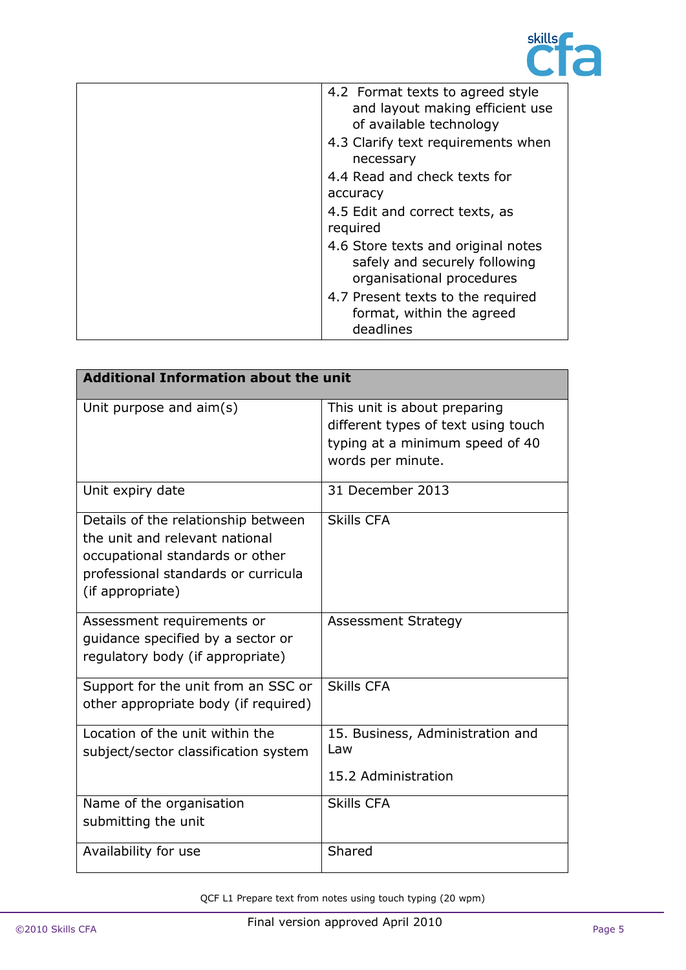

| 4.2 Format texts to agreed style<br>and layout making efficient use<br>of available technology   |
|--------------------------------------------------------------------------------------------------|
| 4.3 Clarify text requirements when<br>necessary                                                  |
| 4.4 Read and check texts for<br>accuracy                                                         |
| 4.5 Edit and correct texts, as<br>required                                                       |
| 4.6 Store texts and original notes<br>safely and securely following<br>organisational procedures |
| 4.7 Present texts to the required<br>format, within the agreed<br>deadlines                      |

| <b>Additional Information about the unit</b>                                                                                                                        |                                                                                                                             |  |
|---------------------------------------------------------------------------------------------------------------------------------------------------------------------|-----------------------------------------------------------------------------------------------------------------------------|--|
| Unit purpose and $\text{aim}(s)$                                                                                                                                    | This unit is about preparing<br>different types of text using touch<br>typing at a minimum speed of 40<br>words per minute. |  |
| Unit expiry date                                                                                                                                                    | 31 December 2013                                                                                                            |  |
| Details of the relationship between<br>the unit and relevant national<br>occupational standards or other<br>professional standards or curricula<br>(if appropriate) | <b>Skills CFA</b>                                                                                                           |  |
| Assessment requirements or<br>quidance specified by a sector or<br>regulatory body (if appropriate)                                                                 | <b>Assessment Strategy</b>                                                                                                  |  |
| Support for the unit from an SSC or<br>other appropriate body (if required)                                                                                         | <b>Skills CFA</b>                                                                                                           |  |
| Location of the unit within the<br>subject/sector classification system                                                                                             | 15. Business, Administration and<br>Law<br>15.2 Administration                                                              |  |
| Name of the organisation<br>submitting the unit                                                                                                                     | <b>Skills CFA</b>                                                                                                           |  |
| Availability for use                                                                                                                                                | Shared                                                                                                                      |  |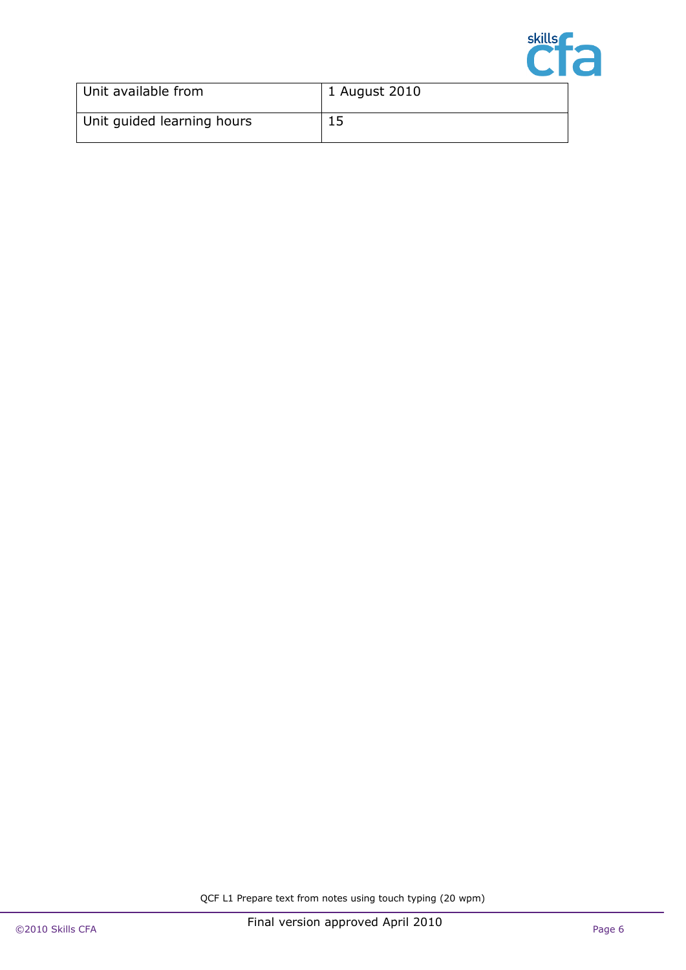

| Unit available from        | 1 August 2010 |
|----------------------------|---------------|
| Unit guided learning hours | 15            |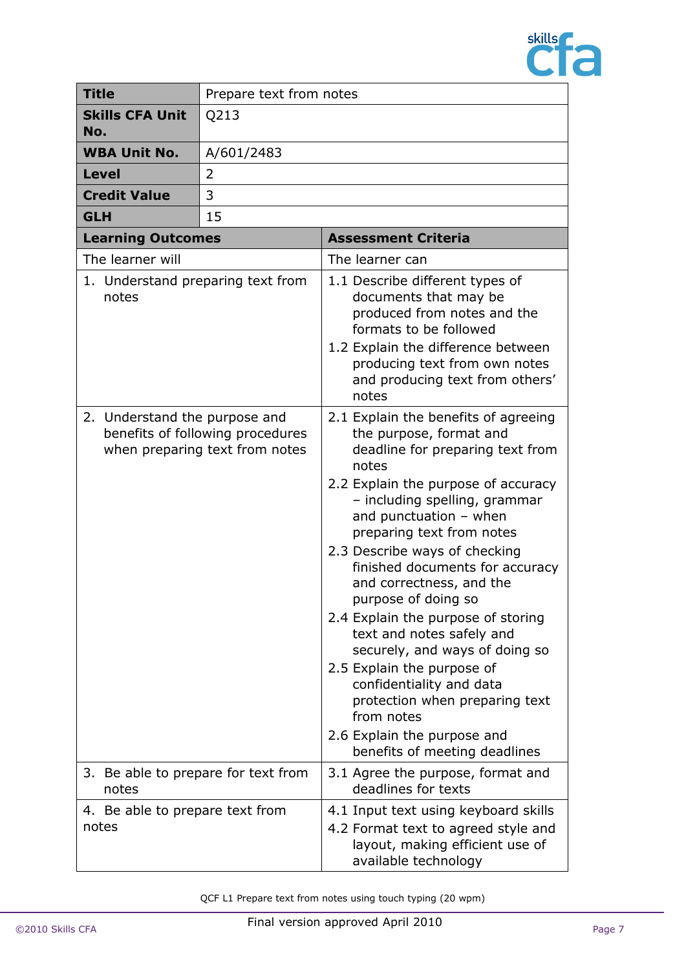

| <b>Title</b>                                                                                        | Prepare text from notes             |                                                                                                                                                                                                                                                                                                                                                                                                                                                                                                                                                                                                                                                     |
|-----------------------------------------------------------------------------------------------------|-------------------------------------|-----------------------------------------------------------------------------------------------------------------------------------------------------------------------------------------------------------------------------------------------------------------------------------------------------------------------------------------------------------------------------------------------------------------------------------------------------------------------------------------------------------------------------------------------------------------------------------------------------------------------------------------------------|
| <b>Skills CFA Unit</b><br>No.                                                                       | Q213                                |                                                                                                                                                                                                                                                                                                                                                                                                                                                                                                                                                                                                                                                     |
| <b>WBA Unit No.</b>                                                                                 | A/601/2483                          |                                                                                                                                                                                                                                                                                                                                                                                                                                                                                                                                                                                                                                                     |
| <b>Level</b>                                                                                        | 2                                   |                                                                                                                                                                                                                                                                                                                                                                                                                                                                                                                                                                                                                                                     |
| <b>Credit Value</b>                                                                                 | 3                                   |                                                                                                                                                                                                                                                                                                                                                                                                                                                                                                                                                                                                                                                     |
| <b>GLH</b>                                                                                          | 15                                  |                                                                                                                                                                                                                                                                                                                                                                                                                                                                                                                                                                                                                                                     |
| <b>Learning Outcomes</b>                                                                            |                                     | <b>Assessment Criteria</b>                                                                                                                                                                                                                                                                                                                                                                                                                                                                                                                                                                                                                          |
| The learner will                                                                                    |                                     | The learner can                                                                                                                                                                                                                                                                                                                                                                                                                                                                                                                                                                                                                                     |
| 1. Understand preparing text from<br>notes                                                          |                                     | 1.1 Describe different types of<br>documents that may be<br>produced from notes and the<br>formats to be followed<br>1.2 Explain the difference between<br>producing text from own notes<br>and producing text from others'<br>notes                                                                                                                                                                                                                                                                                                                                                                                                                |
| 2. Understand the purpose and<br>benefits of following procedures<br>when preparing text from notes |                                     | 2.1 Explain the benefits of agreeing<br>the purpose, format and<br>deadline for preparing text from<br>notes<br>2.2 Explain the purpose of accuracy<br>- including spelling, grammar<br>and punctuation $-$ when<br>preparing text from notes<br>2.3 Describe ways of checking<br>finished documents for accuracy<br>and correctness, and the<br>purpose of doing so<br>2.4 Explain the purpose of storing<br>text and notes safely and<br>securely, and ways of doing so<br>2.5 Explain the purpose of<br>confidentiality and data<br>protection when preparing text<br>from notes<br>2.6 Explain the purpose and<br>benefits of meeting deadlines |
| notes                                                                                               | 3. Be able to prepare for text from | 3.1 Agree the purpose, format and<br>deadlines for texts                                                                                                                                                                                                                                                                                                                                                                                                                                                                                                                                                                                            |
| 4. Be able to prepare text from<br>notes                                                            |                                     | 4.1 Input text using keyboard skills<br>4.2 Format text to agreed style and<br>layout, making efficient use of<br>available technology                                                                                                                                                                                                                                                                                                                                                                                                                                                                                                              |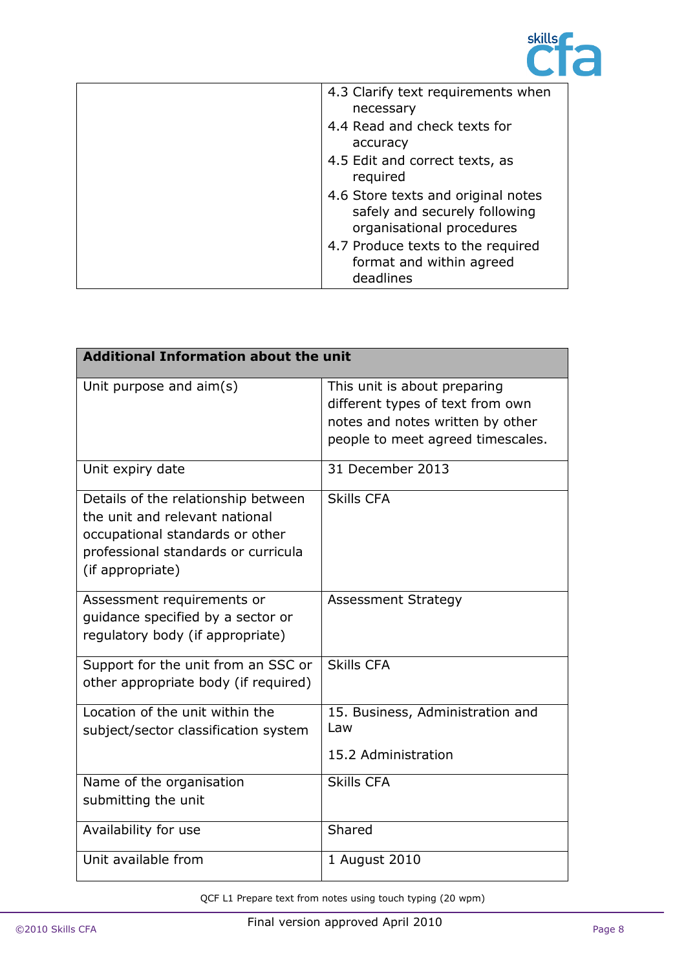

| 4.3 Clarify text requirements when<br>necessary                                                  |
|--------------------------------------------------------------------------------------------------|
| 4.4 Read and check texts for<br>accuracy                                                         |
| 4.5 Edit and correct texts, as<br>required                                                       |
| 4.6 Store texts and original notes<br>safely and securely following<br>organisational procedures |
| 4.7 Produce texts to the required<br>format and within agreed<br>deadlines                       |

| <b>Additional Information about the unit</b>                                                                                                                        |                                                                                                                                           |  |
|---------------------------------------------------------------------------------------------------------------------------------------------------------------------|-------------------------------------------------------------------------------------------------------------------------------------------|--|
| Unit purpose and aim(s)                                                                                                                                             | This unit is about preparing<br>different types of text from own<br>notes and notes written by other<br>people to meet agreed timescales. |  |
| Unit expiry date                                                                                                                                                    | 31 December 2013                                                                                                                          |  |
| Details of the relationship between<br>the unit and relevant national<br>occupational standards or other<br>professional standards or curricula<br>(if appropriate) | <b>Skills CFA</b>                                                                                                                         |  |
| Assessment requirements or<br>quidance specified by a sector or<br>regulatory body (if appropriate)                                                                 | <b>Assessment Strategy</b>                                                                                                                |  |
| Support for the unit from an SSC or<br>other appropriate body (if required)                                                                                         | <b>Skills CFA</b>                                                                                                                         |  |
| Location of the unit within the<br>subject/sector classification system                                                                                             | 15. Business, Administration and<br>Law<br>15.2 Administration                                                                            |  |
| Name of the organisation<br>submitting the unit                                                                                                                     | <b>Skills CFA</b>                                                                                                                         |  |
| Availability for use                                                                                                                                                | Shared                                                                                                                                    |  |
| Unit available from                                                                                                                                                 | 1 August 2010                                                                                                                             |  |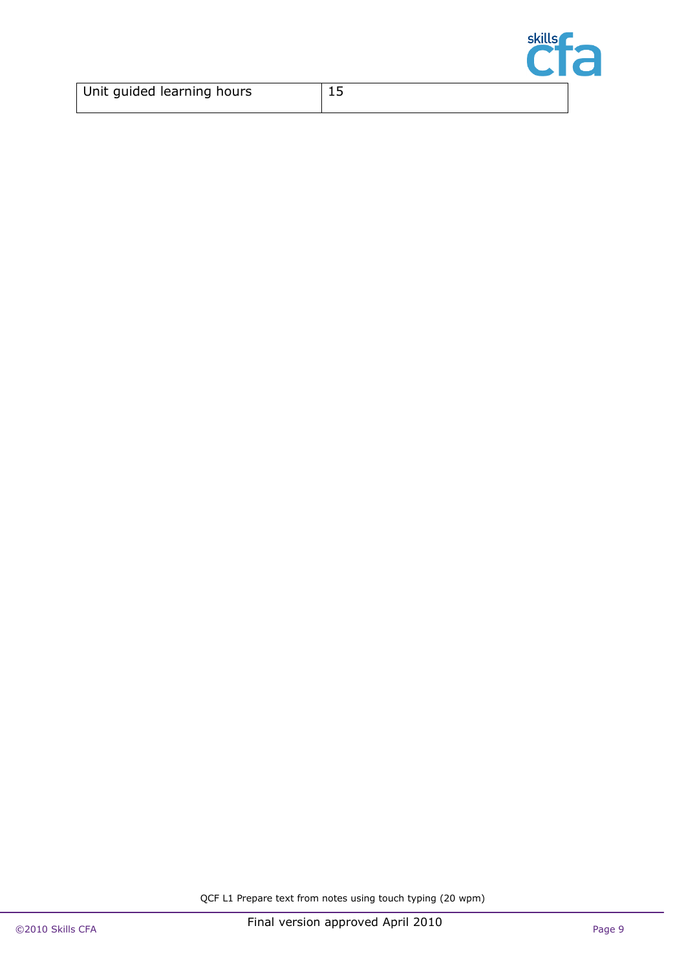

| Unit guided learning hours |  |
|----------------------------|--|
|                            |  |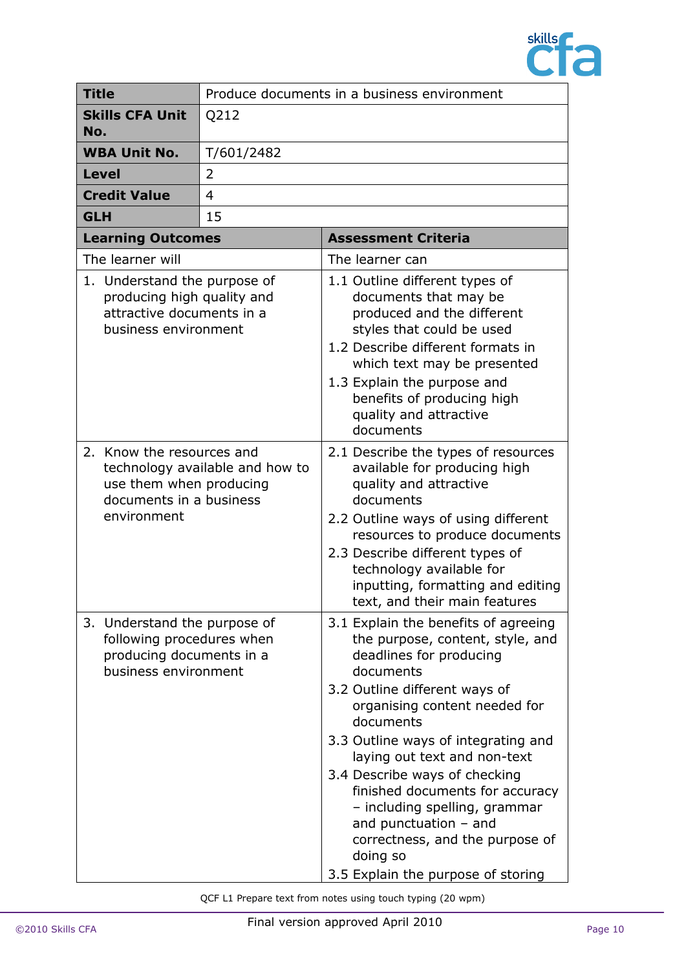

| <b>Title</b>                                                                                                    | Produce documents in a business environment |                                                                                                                                                                                                                                                                                                                                                                                                                                                                                             |
|-----------------------------------------------------------------------------------------------------------------|---------------------------------------------|---------------------------------------------------------------------------------------------------------------------------------------------------------------------------------------------------------------------------------------------------------------------------------------------------------------------------------------------------------------------------------------------------------------------------------------------------------------------------------------------|
| <b>Skills CFA Unit</b><br>No.                                                                                   | Q212                                        |                                                                                                                                                                                                                                                                                                                                                                                                                                                                                             |
| <b>WBA Unit No.</b>                                                                                             | T/601/2482                                  |                                                                                                                                                                                                                                                                                                                                                                                                                                                                                             |
| <b>Level</b>                                                                                                    | 2                                           |                                                                                                                                                                                                                                                                                                                                                                                                                                                                                             |
| <b>Credit Value</b>                                                                                             | 4                                           |                                                                                                                                                                                                                                                                                                                                                                                                                                                                                             |
| <b>GLH</b>                                                                                                      | 15                                          |                                                                                                                                                                                                                                                                                                                                                                                                                                                                                             |
| <b>Learning Outcomes</b>                                                                                        |                                             | <b>Assessment Criteria</b>                                                                                                                                                                                                                                                                                                                                                                                                                                                                  |
| The learner will                                                                                                |                                             | The learner can                                                                                                                                                                                                                                                                                                                                                                                                                                                                             |
| 1. Understand the purpose of<br>producing high quality and<br>attractive documents in a<br>business environment |                                             | 1.1 Outline different types of<br>documents that may be<br>produced and the different<br>styles that could be used<br>1.2 Describe different formats in<br>which text may be presented<br>1.3 Explain the purpose and<br>benefits of producing high<br>quality and attractive<br>documents                                                                                                                                                                                                  |
| 2. Know the resources and<br>use them when producing<br>documents in a business<br>environment                  | technology available and how to             | 2.1 Describe the types of resources<br>available for producing high<br>quality and attractive<br>documents<br>2.2 Outline ways of using different<br>resources to produce documents<br>2.3 Describe different types of<br>technology available for<br>inputting, formatting and editing<br>text, and their main features                                                                                                                                                                    |
| 3. Understand the purpose of<br>following procedures when<br>producing documents in a<br>business environment   |                                             | 3.1 Explain the benefits of agreeing<br>the purpose, content, style, and<br>deadlines for producing<br>documents<br>3.2 Outline different ways of<br>organising content needed for<br>documents<br>3.3 Outline ways of integrating and<br>laying out text and non-text<br>3.4 Describe ways of checking<br>finished documents for accuracy<br>- including spelling, grammar<br>and punctuation $-$ and<br>correctness, and the purpose of<br>doing so<br>3.5 Explain the purpose of storing |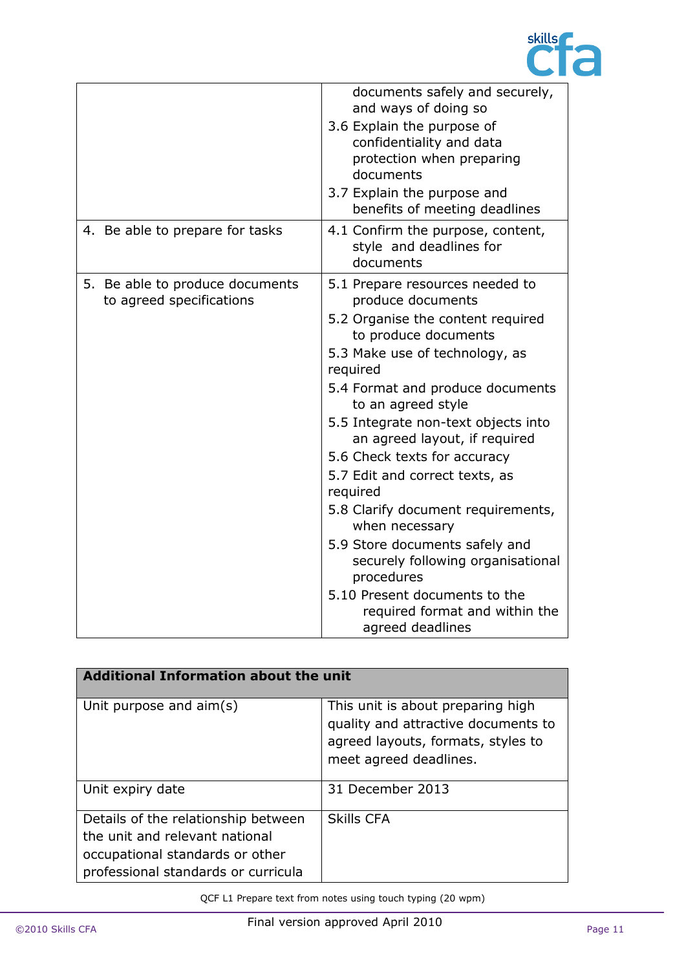

|                                                             | documents safely and securely,<br>and ways of doing so<br>3.6 Explain the purpose of<br>confidentiality and data<br>protection when preparing<br>documents<br>3.7 Explain the purpose and<br>benefits of meeting deadlines                                                                                                                                                                                                                                                                                                                                                                                          |
|-------------------------------------------------------------|---------------------------------------------------------------------------------------------------------------------------------------------------------------------------------------------------------------------------------------------------------------------------------------------------------------------------------------------------------------------------------------------------------------------------------------------------------------------------------------------------------------------------------------------------------------------------------------------------------------------|
| 4. Be able to prepare for tasks                             | 4.1 Confirm the purpose, content,<br>style and deadlines for<br>documents                                                                                                                                                                                                                                                                                                                                                                                                                                                                                                                                           |
| 5. Be able to produce documents<br>to agreed specifications | 5.1 Prepare resources needed to<br>produce documents<br>5.2 Organise the content required<br>to produce documents<br>5.3 Make use of technology, as<br>required<br>5.4 Format and produce documents<br>to an agreed style<br>5.5 Integrate non-text objects into<br>an agreed layout, if required<br>5.6 Check texts for accuracy<br>5.7 Edit and correct texts, as<br>required<br>5.8 Clarify document requirements,<br>when necessary<br>5.9 Store documents safely and<br>securely following organisational<br>procedures<br>5.10 Present documents to the<br>required format and within the<br>agreed deadlines |

| <b>Additional Information about the unit</b>                                                                                                    |                                                                                                                                          |  |
|-------------------------------------------------------------------------------------------------------------------------------------------------|------------------------------------------------------------------------------------------------------------------------------------------|--|
| Unit purpose and aim(s)                                                                                                                         | This unit is about preparing high<br>quality and attractive documents to<br>agreed layouts, formats, styles to<br>meet agreed deadlines. |  |
| Unit expiry date                                                                                                                                | 31 December 2013                                                                                                                         |  |
| Details of the relationship between<br>the unit and relevant national<br>occupational standards or other<br>professional standards or curricula | <b>Skills CFA</b>                                                                                                                        |  |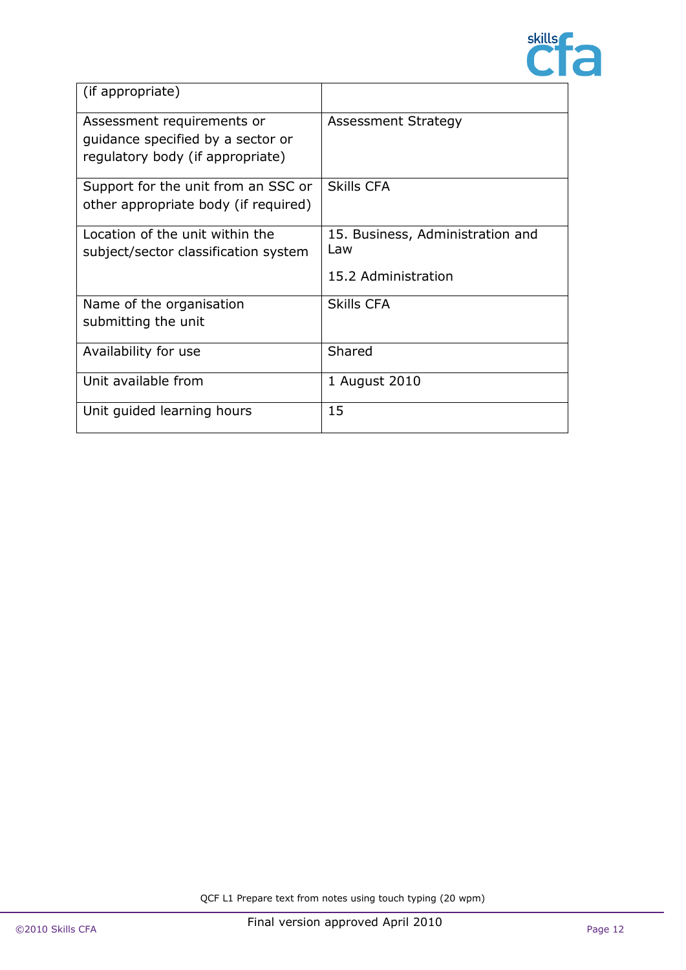

| (if appropriate)                                                                                    |                                                                |
|-----------------------------------------------------------------------------------------------------|----------------------------------------------------------------|
| Assessment requirements or<br>quidance specified by a sector or<br>regulatory body (if appropriate) | Assessment Strategy                                            |
| Support for the unit from an SSC or<br>other appropriate body (if required)                         | <b>Skills CFA</b>                                              |
| Location of the unit within the<br>subject/sector classification system                             | 15. Business, Administration and<br>Law<br>15.2 Administration |
| Name of the organisation<br>submitting the unit                                                     | <b>Skills CFA</b>                                              |
| Availability for use                                                                                | Shared                                                         |
| Unit available from                                                                                 | 1 August 2010                                                  |
| Unit guided learning hours                                                                          | 15                                                             |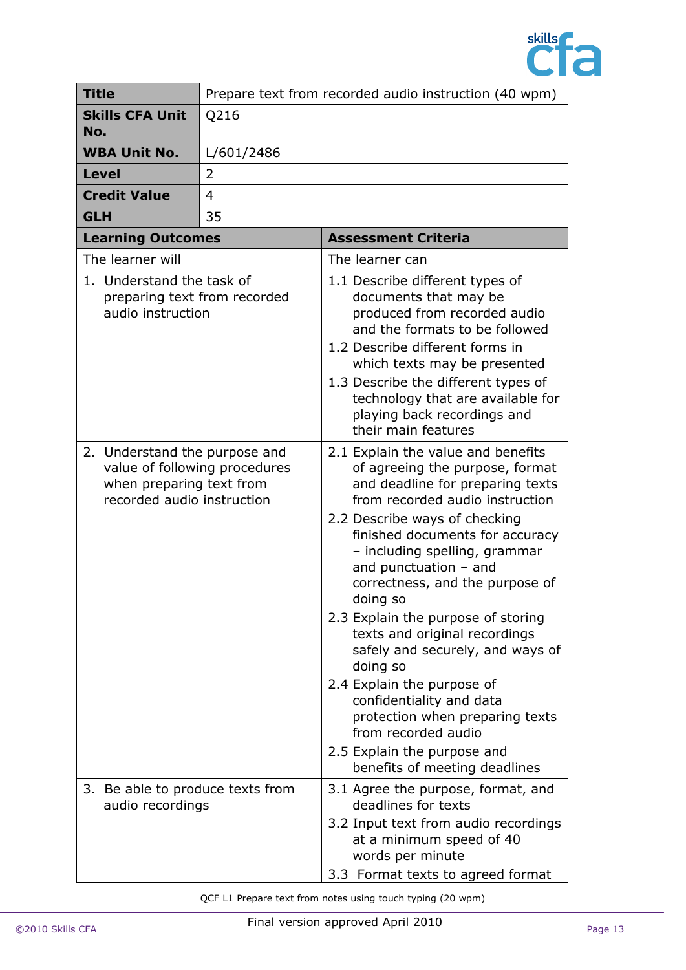

| <b>Title</b> |                                                        | Prepare text from recorded audio instruction (40 wpm)          |                                                                                                                                                                                                                                                                                                                                                                                                                                                                                                                                                                                                                                        |
|--------------|--------------------------------------------------------|----------------------------------------------------------------|----------------------------------------------------------------------------------------------------------------------------------------------------------------------------------------------------------------------------------------------------------------------------------------------------------------------------------------------------------------------------------------------------------------------------------------------------------------------------------------------------------------------------------------------------------------------------------------------------------------------------------------|
| No.          | <b>Skills CFA Unit</b>                                 | Q216                                                           |                                                                                                                                                                                                                                                                                                                                                                                                                                                                                                                                                                                                                                        |
|              | <b>WBA Unit No.</b>                                    | L/601/2486                                                     |                                                                                                                                                                                                                                                                                                                                                                                                                                                                                                                                                                                                                                        |
| <b>Level</b> |                                                        | 2                                                              |                                                                                                                                                                                                                                                                                                                                                                                                                                                                                                                                                                                                                                        |
|              | <b>Credit Value</b>                                    | $\overline{4}$                                                 |                                                                                                                                                                                                                                                                                                                                                                                                                                                                                                                                                                                                                                        |
| <b>GLH</b>   |                                                        | 35                                                             |                                                                                                                                                                                                                                                                                                                                                                                                                                                                                                                                                                                                                                        |
|              | <b>Learning Outcomes</b>                               |                                                                | <b>Assessment Criteria</b>                                                                                                                                                                                                                                                                                                                                                                                                                                                                                                                                                                                                             |
|              | The learner will                                       |                                                                | The learner can                                                                                                                                                                                                                                                                                                                                                                                                                                                                                                                                                                                                                        |
|              | 1. Understand the task of<br>audio instruction         | preparing text from recorded                                   | 1.1 Describe different types of<br>documents that may be<br>produced from recorded audio<br>and the formats to be followed<br>1.2 Describe different forms in<br>which texts may be presented<br>1.3 Describe the different types of<br>technology that are available for<br>playing back recordings and<br>their main features                                                                                                                                                                                                                                                                                                        |
|              | when preparing text from<br>recorded audio instruction | 2. Understand the purpose and<br>value of following procedures | 2.1 Explain the value and benefits<br>of agreeing the purpose, format<br>and deadline for preparing texts<br>from recorded audio instruction<br>2.2 Describe ways of checking<br>finished documents for accuracy<br>- including spelling, grammar<br>and punctuation $-$ and<br>correctness, and the purpose of<br>doing so<br>2.3 Explain the purpose of storing<br>texts and original recordings<br>safely and securely, and ways of<br>doing so<br>2.4 Explain the purpose of<br>confidentiality and data<br>protection when preparing texts<br>from recorded audio<br>2.5 Explain the purpose and<br>benefits of meeting deadlines |
|              | audio recordings                                       | 3. Be able to produce texts from                               | 3.1 Agree the purpose, format, and<br>deadlines for texts<br>3.2 Input text from audio recordings<br>at a minimum speed of 40<br>words per minute<br>3.3 Format texts to agreed format                                                                                                                                                                                                                                                                                                                                                                                                                                                 |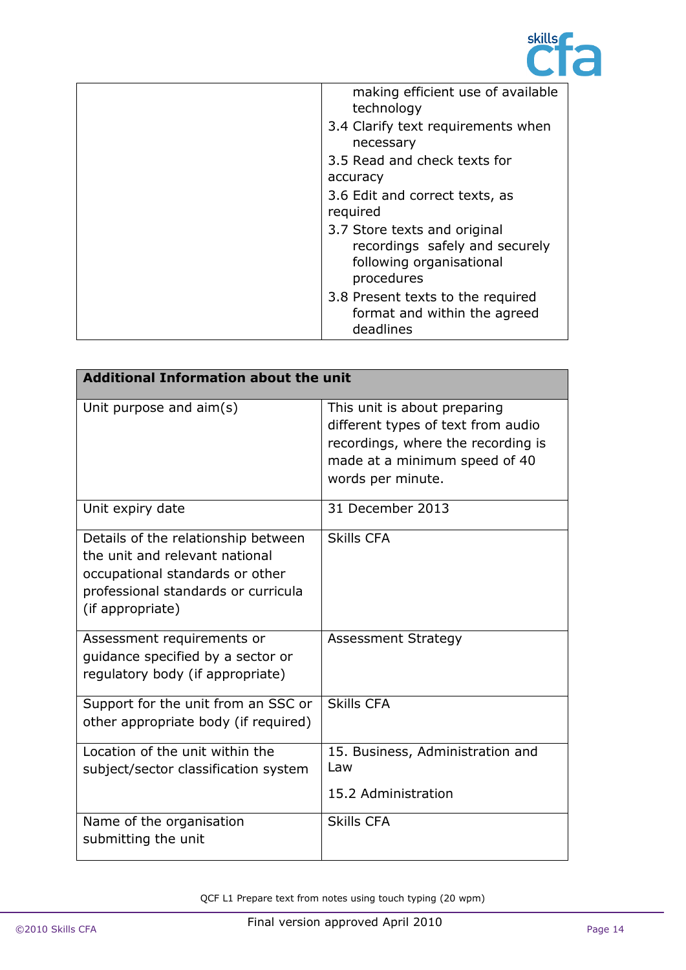

| making efficient use of available<br>technology                                                          |
|----------------------------------------------------------------------------------------------------------|
| 3.4 Clarify text requirements when<br>necessary                                                          |
| 3.5 Read and check texts for<br>accuracy                                                                 |
| 3.6 Edit and correct texts, as<br>required                                                               |
| 3.7 Store texts and original<br>recordings safely and securely<br>following organisational<br>procedures |
| 3.8 Present texts to the required<br>format and within the agreed<br>deadlines                           |

| <b>Additional Information about the unit</b>                                                                                                                        |                                                                                                                                                                |  |
|---------------------------------------------------------------------------------------------------------------------------------------------------------------------|----------------------------------------------------------------------------------------------------------------------------------------------------------------|--|
| Unit purpose and aim(s)                                                                                                                                             | This unit is about preparing<br>different types of text from audio<br>recordings, where the recording is<br>made at a minimum speed of 40<br>words per minute. |  |
| Unit expiry date                                                                                                                                                    | 31 December 2013                                                                                                                                               |  |
| Details of the relationship between<br>the unit and relevant national<br>occupational standards or other<br>professional standards or curricula<br>(if appropriate) | <b>Skills CFA</b>                                                                                                                                              |  |
| Assessment requirements or<br>quidance specified by a sector or<br>regulatory body (if appropriate)                                                                 | <b>Assessment Strategy</b>                                                                                                                                     |  |
| Support for the unit from an SSC or<br>other appropriate body (if required)                                                                                         | <b>Skills CFA</b>                                                                                                                                              |  |
| Location of the unit within the<br>subject/sector classification system                                                                                             | 15. Business, Administration and<br>Law<br>15.2 Administration                                                                                                 |  |
| Name of the organisation<br>submitting the unit                                                                                                                     | <b>Skills CFA</b>                                                                                                                                              |  |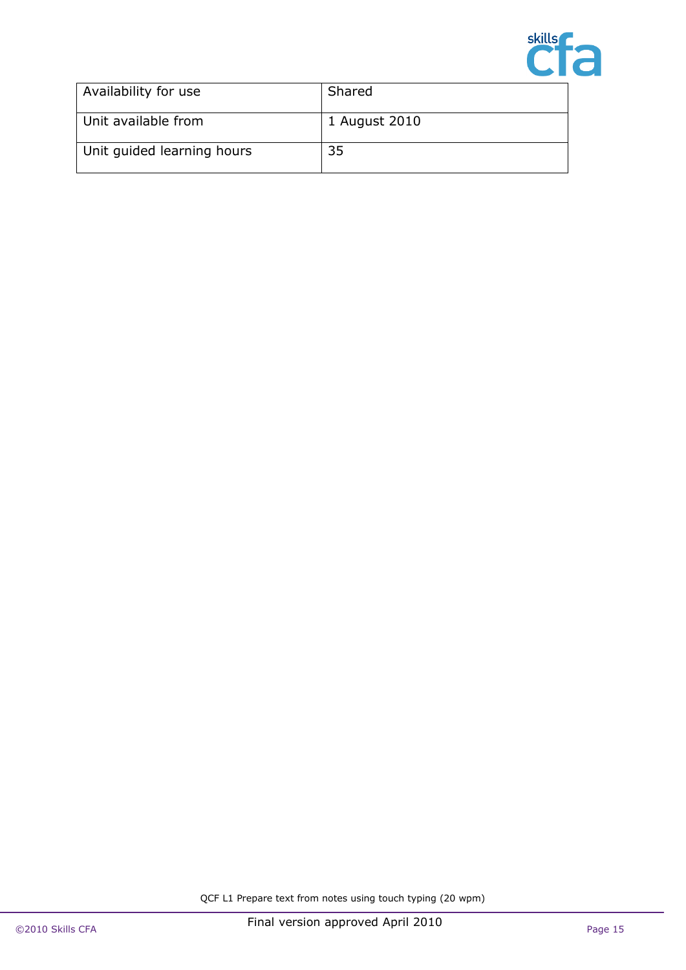

| Availability for use       | Shared        |
|----------------------------|---------------|
| Unit available from        | 1 August 2010 |
| Unit guided learning hours | 35            |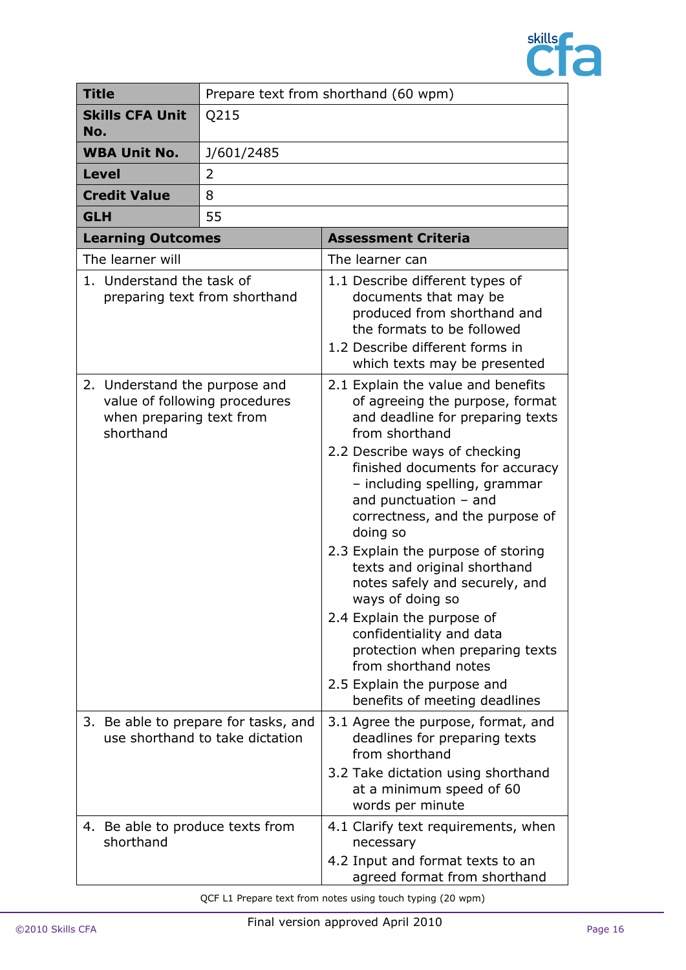

|            | <b>Title</b>                                                                                            | Prepare text from shorthand (60 wpm)                                    |                                                                                                                                                                                                                   |
|------------|---------------------------------------------------------------------------------------------------------|-------------------------------------------------------------------------|-------------------------------------------------------------------------------------------------------------------------------------------------------------------------------------------------------------------|
| No.        | <b>Skills CFA Unit</b>                                                                                  | Q215                                                                    |                                                                                                                                                                                                                   |
|            | <b>WBA Unit No.</b>                                                                                     | J/601/2485                                                              |                                                                                                                                                                                                                   |
|            | <b>Level</b>                                                                                            | 2                                                                       |                                                                                                                                                                                                                   |
|            | <b>Credit Value</b>                                                                                     | 8                                                                       |                                                                                                                                                                                                                   |
| <b>GLH</b> |                                                                                                         | 55                                                                      |                                                                                                                                                                                                                   |
|            | <b>Learning Outcomes</b>                                                                                |                                                                         | <b>Assessment Criteria</b>                                                                                                                                                                                        |
|            | The learner will                                                                                        |                                                                         | The learner can                                                                                                                                                                                                   |
|            | 1. Understand the task of                                                                               | preparing text from shorthand                                           | 1.1 Describe different types of<br>documents that may be<br>produced from shorthand and<br>the formats to be followed<br>1.2 Describe different forms in<br>which texts may be presented                          |
|            | 2. Understand the purpose and<br>value of following procedures<br>when preparing text from<br>shorthand |                                                                         | 2.1 Explain the value and benefits<br>of agreeing the purpose, format<br>and deadline for preparing texts<br>from shorthand                                                                                       |
|            |                                                                                                         |                                                                         | 2.2 Describe ways of checking<br>finished documents for accuracy<br>- including spelling, grammar<br>and punctuation $-$ and<br>correctness, and the purpose of<br>doing so<br>2.3 Explain the purpose of storing |
|            |                                                                                                         |                                                                         | texts and original shorthand<br>notes safely and securely, and<br>ways of doing so<br>2.4 Explain the purpose of                                                                                                  |
|            |                                                                                                         |                                                                         | confidentiality and data<br>protection when preparing texts<br>from shorthand notes<br>2.5 Explain the purpose and                                                                                                |
|            |                                                                                                         |                                                                         | benefits of meeting deadlines                                                                                                                                                                                     |
|            |                                                                                                         | 3. Be able to prepare for tasks, and<br>use shorthand to take dictation | 3.1 Agree the purpose, format, and<br>deadlines for preparing texts<br>from shorthand                                                                                                                             |
|            |                                                                                                         |                                                                         | 3.2 Take dictation using shorthand<br>at a minimum speed of 60<br>words per minute                                                                                                                                |
|            | 4. Be able to produce texts from<br>shorthand                                                           |                                                                         | 4.1 Clarify text requirements, when<br>necessary                                                                                                                                                                  |
|            |                                                                                                         |                                                                         | 4.2 Input and format texts to an<br>agreed format from shorthand                                                                                                                                                  |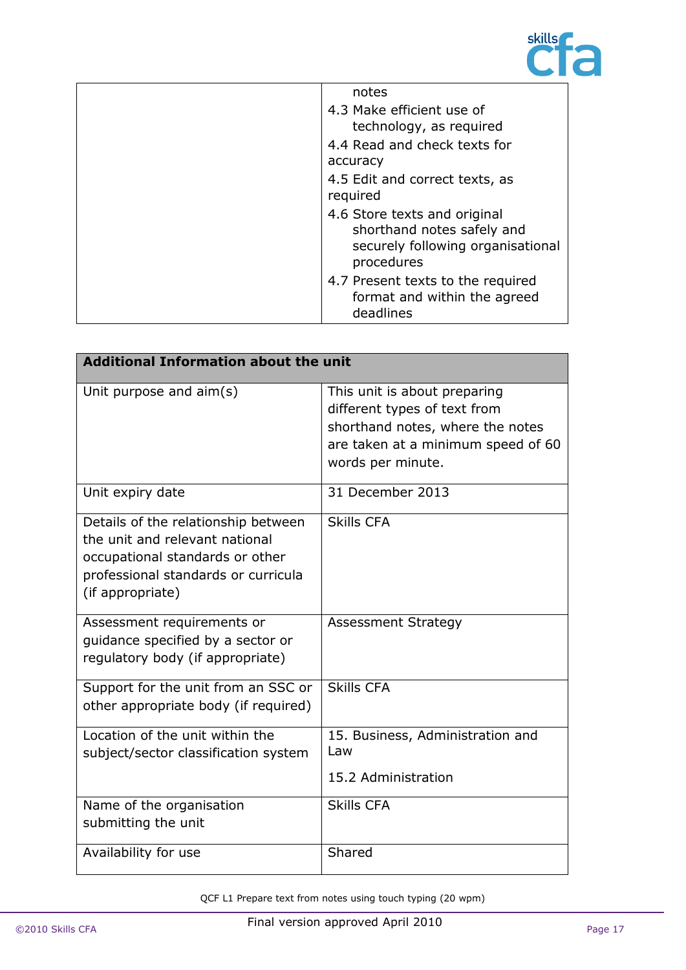

| notes                                                                                                         |
|---------------------------------------------------------------------------------------------------------------|
| 4.3 Make efficient use of                                                                                     |
| technology, as required                                                                                       |
| 4.4 Read and check texts for                                                                                  |
| accuracy                                                                                                      |
| 4.5 Edit and correct texts, as                                                                                |
| required                                                                                                      |
| 4.6 Store texts and original<br>shorthand notes safely and<br>securely following organisational<br>procedures |
| 4.7 Present texts to the required<br>format and within the agreed<br>deadlines                                |

| <b>Additional Information about the unit</b>                                                                                                                        |                                                                                                                                                             |
|---------------------------------------------------------------------------------------------------------------------------------------------------------------------|-------------------------------------------------------------------------------------------------------------------------------------------------------------|
| Unit purpose and aim(s)                                                                                                                                             | This unit is about preparing<br>different types of text from<br>shorthand notes, where the notes<br>are taken at a minimum speed of 60<br>words per minute. |
| Unit expiry date                                                                                                                                                    | 31 December 2013                                                                                                                                            |
| Details of the relationship between<br>the unit and relevant national<br>occupational standards or other<br>professional standards or curricula<br>(if appropriate) | <b>Skills CFA</b>                                                                                                                                           |
| Assessment requirements or<br>quidance specified by a sector or<br>regulatory body (if appropriate)                                                                 | <b>Assessment Strategy</b>                                                                                                                                  |
| Support for the unit from an SSC or<br>other appropriate body (if required)                                                                                         | <b>Skills CFA</b>                                                                                                                                           |
| Location of the unit within the<br>subject/sector classification system                                                                                             | 15. Business, Administration and<br>Law<br>15.2 Administration                                                                                              |
| Name of the organisation<br>submitting the unit                                                                                                                     | <b>Skills CFA</b>                                                                                                                                           |
| Availability for use                                                                                                                                                | Shared                                                                                                                                                      |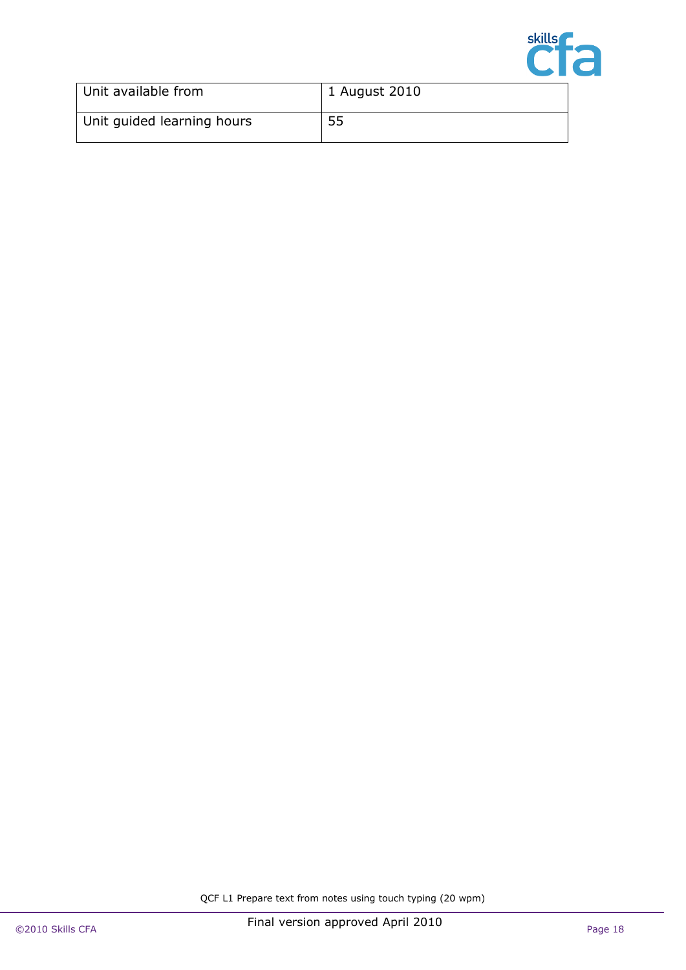

| Unit available from        | 1 August 2010 |
|----------------------------|---------------|
| Unit guided learning hours | 55            |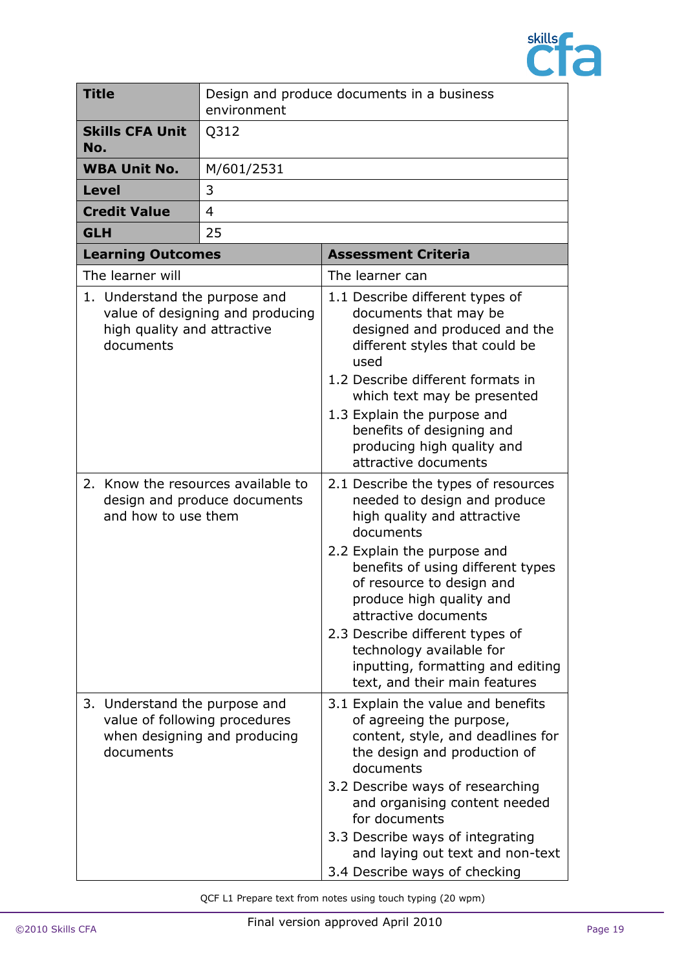

| <b>Title</b>                                                              | environment                                                   | Design and produce documents in a business                                                                                                                                                                                                                                                                                                                                                                |
|---------------------------------------------------------------------------|---------------------------------------------------------------|-----------------------------------------------------------------------------------------------------------------------------------------------------------------------------------------------------------------------------------------------------------------------------------------------------------------------------------------------------------------------------------------------------------|
| <b>Skills CFA Unit</b><br>No.                                             | Q312                                                          |                                                                                                                                                                                                                                                                                                                                                                                                           |
| <b>WBA Unit No.</b>                                                       | M/601/2531                                                    |                                                                                                                                                                                                                                                                                                                                                                                                           |
| <b>Level</b>                                                              | 3                                                             |                                                                                                                                                                                                                                                                                                                                                                                                           |
| <b>Credit Value</b>                                                       | 4                                                             |                                                                                                                                                                                                                                                                                                                                                                                                           |
| <b>GLH</b>                                                                | 25                                                            |                                                                                                                                                                                                                                                                                                                                                                                                           |
| <b>Learning Outcomes</b>                                                  |                                                               | <b>Assessment Criteria</b>                                                                                                                                                                                                                                                                                                                                                                                |
| The learner will                                                          |                                                               | The learner can                                                                                                                                                                                                                                                                                                                                                                                           |
| 1. Understand the purpose and<br>high quality and attractive<br>documents | value of designing and producing                              | 1.1 Describe different types of<br>documents that may be<br>designed and produced and the<br>different styles that could be<br>used<br>1.2 Describe different formats in<br>which text may be presented<br>1.3 Explain the purpose and<br>benefits of designing and<br>producing high quality and<br>attractive documents                                                                                 |
| 2. Know the resources available to<br>and how to use them                 | design and produce documents                                  | 2.1 Describe the types of resources<br>needed to design and produce<br>high quality and attractive<br>documents<br>2.2 Explain the purpose and<br>benefits of using different types<br>of resource to design and<br>produce high quality and<br>attractive documents<br>2.3 Describe different types of<br>technology available for<br>inputting, formatting and editing<br>text, and their main features |
| Understand the purpose and<br>3.<br>documents                             | value of following procedures<br>when designing and producing | 3.1 Explain the value and benefits<br>of agreeing the purpose,<br>content, style, and deadlines for<br>the design and production of<br>documents<br>3.2 Describe ways of researching<br>and organising content needed<br>for documents<br>3.3 Describe ways of integrating<br>and laying out text and non-text<br>3.4 Describe ways of checking                                                           |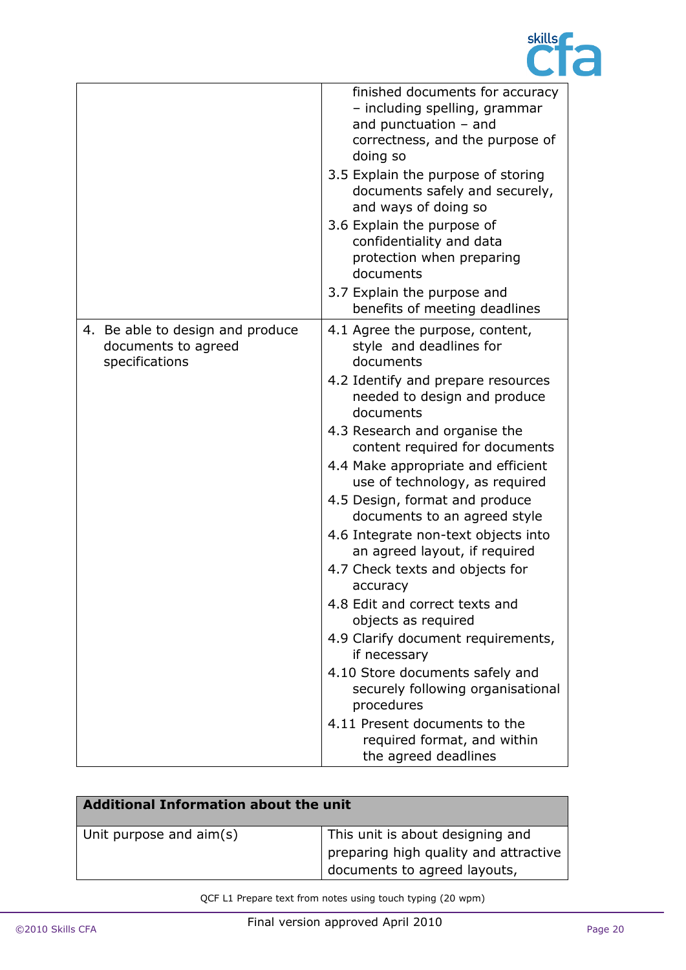

|                                                                           | finished documents for accuracy<br>- including spelling, grammar<br>and punctuation $-$ and<br>correctness, and the purpose of<br>doing so<br>3.5 Explain the purpose of storing<br>documents safely and securely,<br>and ways of doing so<br>3.6 Explain the purpose of<br>confidentiality and data<br>protection when preparing<br>documents<br>3.7 Explain the purpose and<br>benefits of meeting deadlines                                                                                                                                                                                                                                                                                                                                                                              |
|---------------------------------------------------------------------------|---------------------------------------------------------------------------------------------------------------------------------------------------------------------------------------------------------------------------------------------------------------------------------------------------------------------------------------------------------------------------------------------------------------------------------------------------------------------------------------------------------------------------------------------------------------------------------------------------------------------------------------------------------------------------------------------------------------------------------------------------------------------------------------------|
| 4. Be able to design and produce<br>documents to agreed<br>specifications | 4.1 Agree the purpose, content,<br>style and deadlines for<br>documents<br>4.2 Identify and prepare resources<br>needed to design and produce<br>documents<br>4.3 Research and organise the<br>content required for documents<br>4.4 Make appropriate and efficient<br>use of technology, as required<br>4.5 Design, format and produce<br>documents to an agreed style<br>4.6 Integrate non-text objects into<br>an agreed layout, if required<br>4.7 Check texts and objects for<br>accuracy<br>4.8 Edit and correct texts and<br>objects as required<br>4.9 Clarify document requirements,<br>if necessary<br>4.10 Store documents safely and<br>securely following organisational<br>procedures<br>4.11 Present documents to the<br>required format, and within<br>the agreed deadlines |

| Additional Information about the unit |                                                                                                                         |
|---------------------------------------|-------------------------------------------------------------------------------------------------------------------------|
| Unit purpose and aim(s)               | This unit is about designing and<br>$\frac{1}{2}$ preparing high quality and attractive<br>documents to agreed layouts, |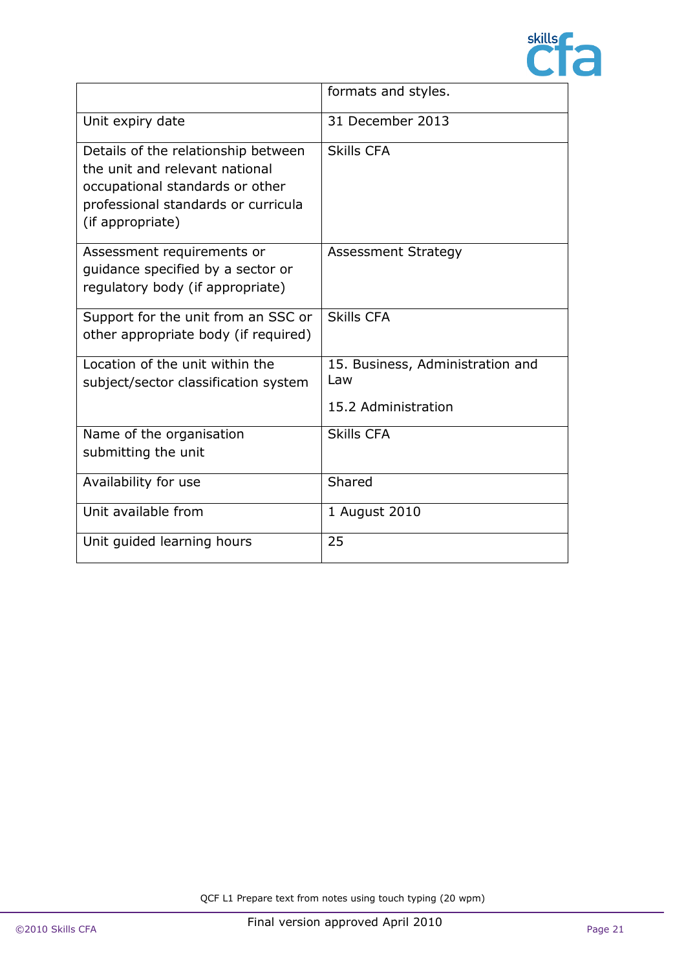

|                                                                                                                                                                     | formats and styles.                                            |
|---------------------------------------------------------------------------------------------------------------------------------------------------------------------|----------------------------------------------------------------|
| Unit expiry date                                                                                                                                                    | 31 December 2013                                               |
| Details of the relationship between<br>the unit and relevant national<br>occupational standards or other<br>professional standards or curricula<br>(if appropriate) | <b>Skills CFA</b>                                              |
| Assessment requirements or<br>quidance specified by a sector or<br>regulatory body (if appropriate)                                                                 | <b>Assessment Strategy</b>                                     |
| Support for the unit from an SSC or<br>other appropriate body (if required)                                                                                         | <b>Skills CFA</b>                                              |
| Location of the unit within the<br>subject/sector classification system                                                                                             | 15. Business, Administration and<br>Law<br>15.2 Administration |
| Name of the organisation<br>submitting the unit                                                                                                                     | <b>Skills CFA</b>                                              |
| Availability for use                                                                                                                                                | Shared                                                         |
| Unit available from                                                                                                                                                 | 1 August 2010                                                  |
| Unit guided learning hours                                                                                                                                          | 25                                                             |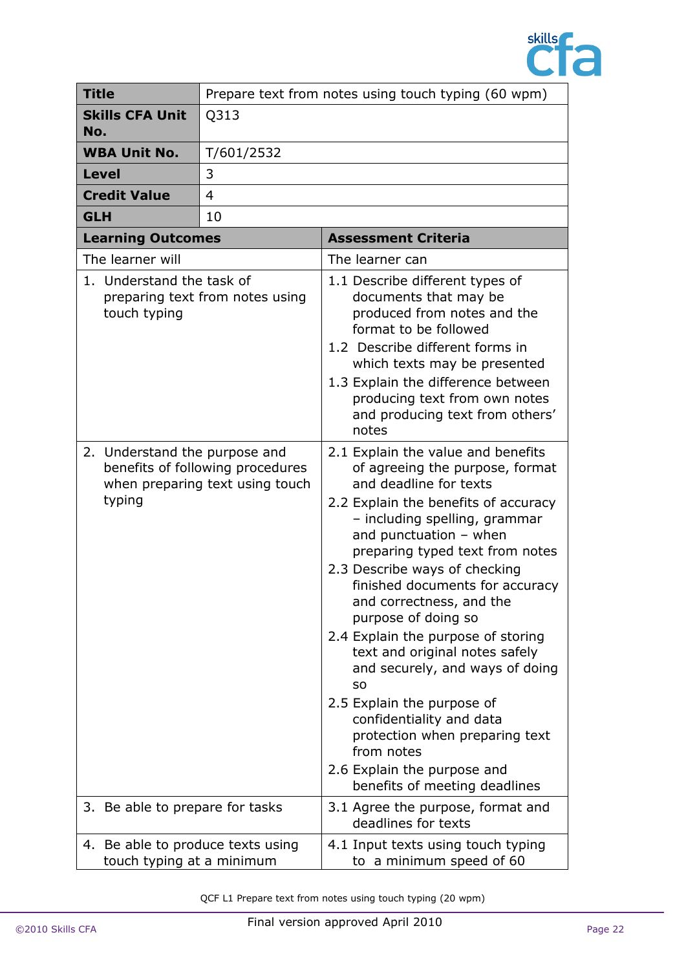

| <b>Title</b>                                                   | Prepare text from notes using touch typing (60 wpm)                 |                                                                                                                                                                                                                                                                                                                                                                                                                                                                                                                                                                                                                                                                  |
|----------------------------------------------------------------|---------------------------------------------------------------------|------------------------------------------------------------------------------------------------------------------------------------------------------------------------------------------------------------------------------------------------------------------------------------------------------------------------------------------------------------------------------------------------------------------------------------------------------------------------------------------------------------------------------------------------------------------------------------------------------------------------------------------------------------------|
| <b>Skills CFA Unit</b><br>No.                                  | Q313                                                                |                                                                                                                                                                                                                                                                                                                                                                                                                                                                                                                                                                                                                                                                  |
| <b>WBA Unit No.</b>                                            | T/601/2532                                                          |                                                                                                                                                                                                                                                                                                                                                                                                                                                                                                                                                                                                                                                                  |
| <b>Level</b>                                                   | 3                                                                   |                                                                                                                                                                                                                                                                                                                                                                                                                                                                                                                                                                                                                                                                  |
| <b>Credit Value</b>                                            | 4                                                                   |                                                                                                                                                                                                                                                                                                                                                                                                                                                                                                                                                                                                                                                                  |
| <b>GLH</b>                                                     | 10                                                                  |                                                                                                                                                                                                                                                                                                                                                                                                                                                                                                                                                                                                                                                                  |
| <b>Learning Outcomes</b>                                       |                                                                     | <b>Assessment Criteria</b>                                                                                                                                                                                                                                                                                                                                                                                                                                                                                                                                                                                                                                       |
| The learner will                                               |                                                                     | The learner can                                                                                                                                                                                                                                                                                                                                                                                                                                                                                                                                                                                                                                                  |
| 1. Understand the task of<br>touch typing                      | preparing text from notes using                                     | 1.1 Describe different types of<br>documents that may be<br>produced from notes and the<br>format to be followed<br>1.2 Describe different forms in<br>which texts may be presented<br>1.3 Explain the difference between<br>producing text from own notes<br>and producing text from others'<br>notes                                                                                                                                                                                                                                                                                                                                                           |
| 2. Understand the purpose and<br>typing                        | benefits of following procedures<br>when preparing text using touch | 2.1 Explain the value and benefits<br>of agreeing the purpose, format<br>and deadline for texts<br>2.2 Explain the benefits of accuracy<br>- including spelling, grammar<br>and punctuation $-$ when<br>preparing typed text from notes<br>2.3 Describe ways of checking<br>finished documents for accuracy<br>and correctness, and the<br>purpose of doing so<br>2.4 Explain the purpose of storing<br>text and original notes safely<br>and securely, and ways of doing<br><b>SO</b><br>2.5 Explain the purpose of<br>confidentiality and data<br>protection when preparing text<br>from notes<br>2.6 Explain the purpose and<br>benefits of meeting deadlines |
| 3. Be able to prepare for tasks                                |                                                                     | 3.1 Agree the purpose, format and<br>deadlines for texts                                                                                                                                                                                                                                                                                                                                                                                                                                                                                                                                                                                                         |
| 4. Be able to produce texts using<br>touch typing at a minimum |                                                                     | 4.1 Input texts using touch typing<br>to a minimum speed of 60                                                                                                                                                                                                                                                                                                                                                                                                                                                                                                                                                                                                   |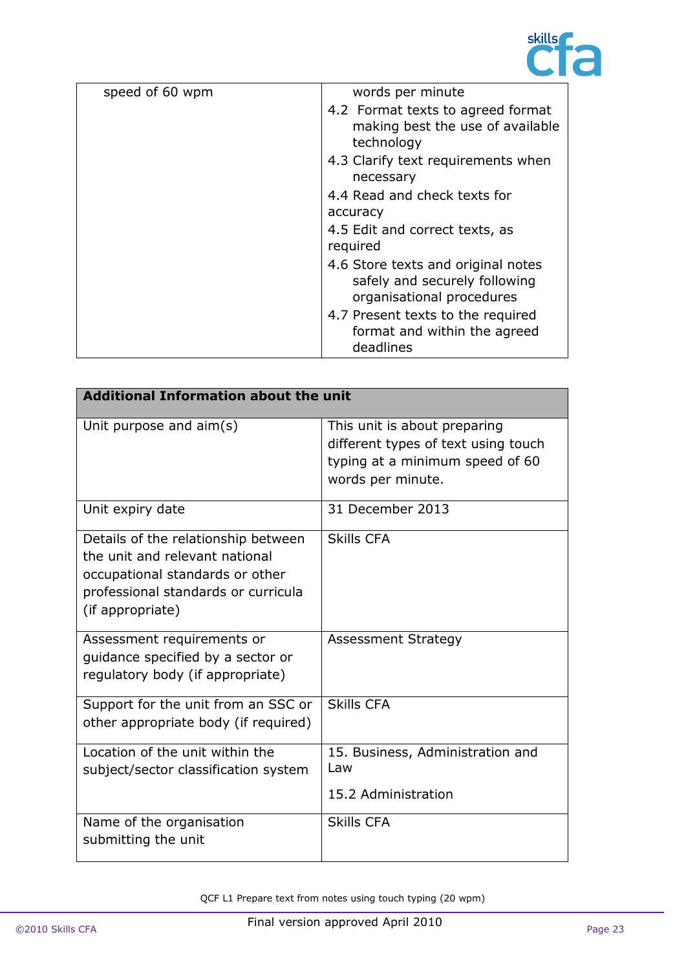

| speed of 60 wpm | words per minute                                                                                 |
|-----------------|--------------------------------------------------------------------------------------------------|
|                 | 4.2 Format texts to agreed format<br>making best the use of available<br>technology              |
|                 | 4.3 Clarify text requirements when<br>necessary                                                  |
|                 | 4.4 Read and check texts for                                                                     |
|                 | accuracy                                                                                         |
|                 | 4.5 Edit and correct texts, as<br>required                                                       |
|                 | 4.6 Store texts and original notes<br>safely and securely following<br>organisational procedures |
|                 | 4.7 Present texts to the required<br>format and within the agreed<br>deadlines                   |

| <b>Additional Information about the unit</b>                                                                                                                        |                                                                                                                             |
|---------------------------------------------------------------------------------------------------------------------------------------------------------------------|-----------------------------------------------------------------------------------------------------------------------------|
| Unit purpose and $\text{aim}(s)$                                                                                                                                    | This unit is about preparing<br>different types of text using touch<br>typing at a minimum speed of 60<br>words per minute. |
| Unit expiry date                                                                                                                                                    | 31 December 2013                                                                                                            |
| Details of the relationship between<br>the unit and relevant national<br>occupational standards or other<br>professional standards or curricula<br>(if appropriate) | <b>Skills CFA</b>                                                                                                           |
| Assessment requirements or<br>quidance specified by a sector or<br>regulatory body (if appropriate)                                                                 | <b>Assessment Strategy</b>                                                                                                  |
| Support for the unit from an SSC or<br>other appropriate body (if required)                                                                                         | <b>Skills CFA</b>                                                                                                           |
| Location of the unit within the<br>subject/sector classification system                                                                                             | 15. Business, Administration and<br>Law<br>15.2 Administration                                                              |
| Name of the organisation<br>submitting the unit                                                                                                                     | <b>Skills CFA</b>                                                                                                           |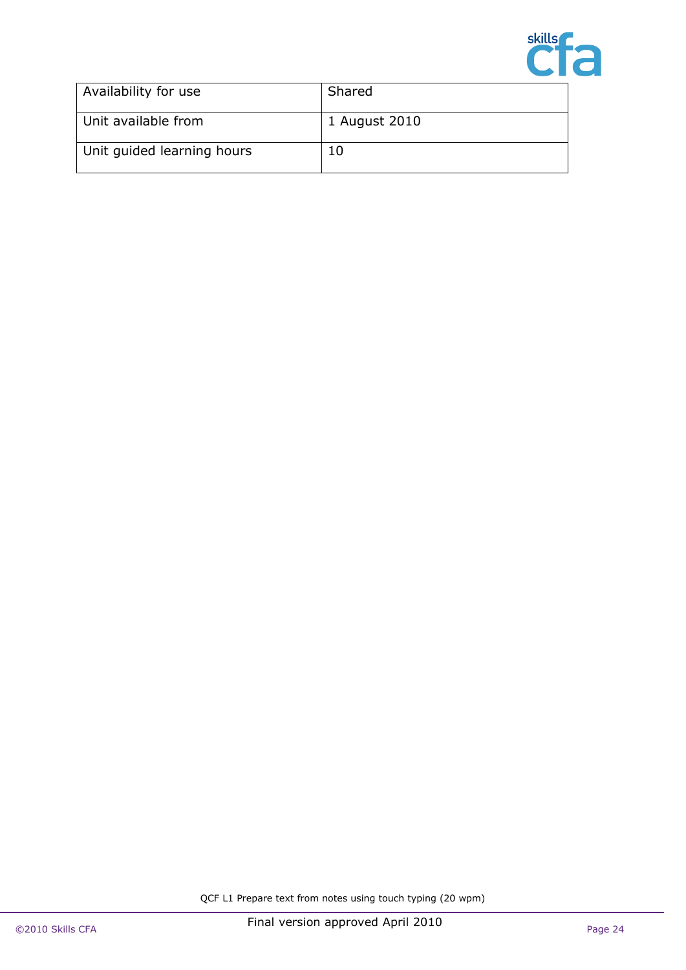

| Availability for use       | Shared        |
|----------------------------|---------------|
| Unit available from        | 1 August 2010 |
| Unit quided learning hours |               |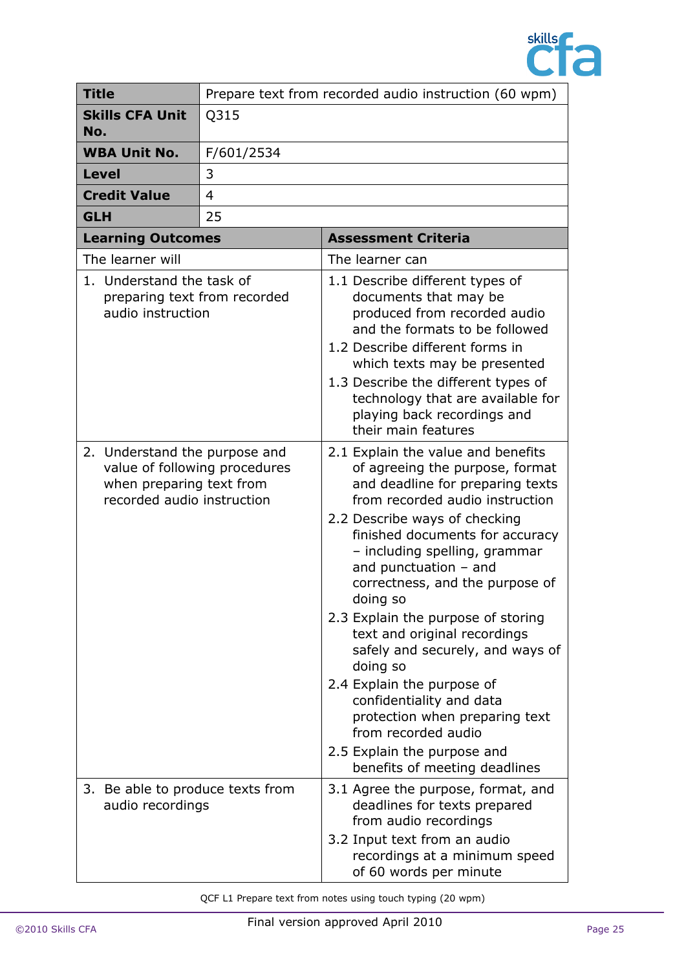

| <b>Title</b>                                                                            |                               | Prepare text from recorded audio instruction (60 wpm)                                                                                                                                                                                                                                                                                                                                                                                                                                                                                                                                                                                |  |
|-----------------------------------------------------------------------------------------|-------------------------------|--------------------------------------------------------------------------------------------------------------------------------------------------------------------------------------------------------------------------------------------------------------------------------------------------------------------------------------------------------------------------------------------------------------------------------------------------------------------------------------------------------------------------------------------------------------------------------------------------------------------------------------|--|
| <b>Skills CFA Unit</b><br>No.                                                           | Q315                          |                                                                                                                                                                                                                                                                                                                                                                                                                                                                                                                                                                                                                                      |  |
| <b>WBA Unit No.</b>                                                                     | F/601/2534                    |                                                                                                                                                                                                                                                                                                                                                                                                                                                                                                                                                                                                                                      |  |
| <b>Level</b>                                                                            | 3                             |                                                                                                                                                                                                                                                                                                                                                                                                                                                                                                                                                                                                                                      |  |
| <b>Credit Value</b>                                                                     | $\overline{4}$                |                                                                                                                                                                                                                                                                                                                                                                                                                                                                                                                                                                                                                                      |  |
| <b>GLH</b>                                                                              | 25                            |                                                                                                                                                                                                                                                                                                                                                                                                                                                                                                                                                                                                                                      |  |
| <b>Learning Outcomes</b>                                                                |                               | <b>Assessment Criteria</b>                                                                                                                                                                                                                                                                                                                                                                                                                                                                                                                                                                                                           |  |
| The learner will                                                                        |                               | The learner can                                                                                                                                                                                                                                                                                                                                                                                                                                                                                                                                                                                                                      |  |
| 1. Understand the task of<br>audio instruction                                          | preparing text from recorded  | 1.1 Describe different types of<br>documents that may be<br>produced from recorded audio<br>and the formats to be followed<br>1.2 Describe different forms in<br>which texts may be presented<br>1.3 Describe the different types of<br>technology that are available for<br>playing back recordings and<br>their main features                                                                                                                                                                                                                                                                                                      |  |
| 2. Understand the purpose and<br>when preparing text from<br>recorded audio instruction | value of following procedures | 2.1 Explain the value and benefits<br>of agreeing the purpose, format<br>and deadline for preparing texts<br>from recorded audio instruction<br>2.2 Describe ways of checking<br>finished documents for accuracy<br>- including spelling, grammar<br>and punctuation $-$ and<br>correctness, and the purpose of<br>doing so<br>2.3 Explain the purpose of storing<br>text and original recordings<br>safely and securely, and ways of<br>doing so<br>2.4 Explain the purpose of<br>confidentiality and data<br>protection when preparing text<br>from recorded audio<br>2.5 Explain the purpose and<br>benefits of meeting deadlines |  |
| 3.<br>audio recordings                                                                  | Be able to produce texts from | 3.1 Agree the purpose, format, and<br>deadlines for texts prepared<br>from audio recordings<br>3.2 Input text from an audio<br>recordings at a minimum speed<br>of 60 words per minute                                                                                                                                                                                                                                                                                                                                                                                                                                               |  |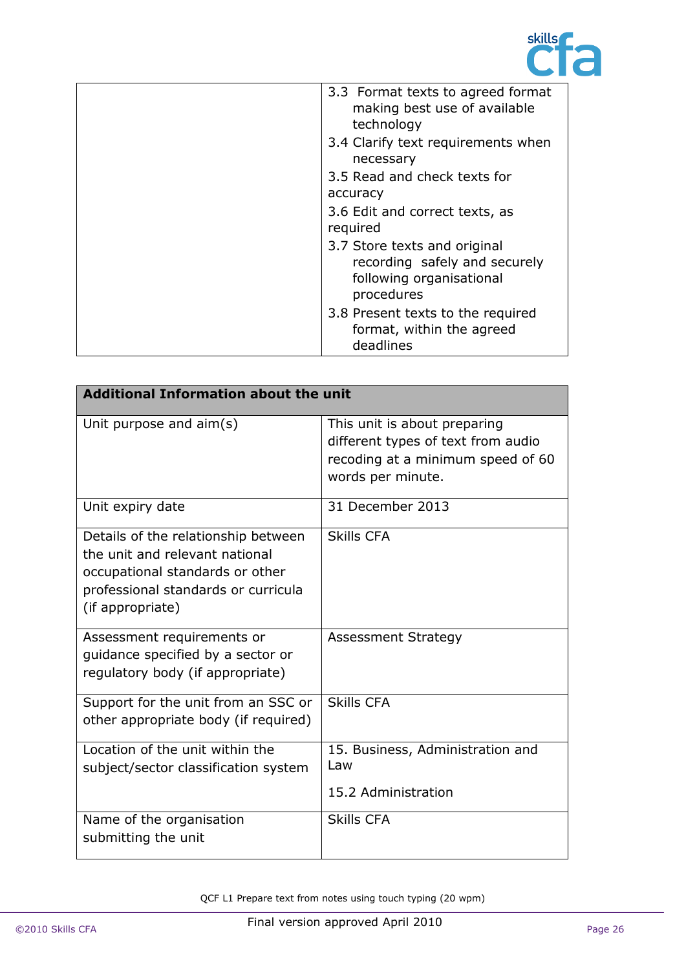

| 3.3 Format texts to agreed format<br>making best use of available<br>technology                         |
|---------------------------------------------------------------------------------------------------------|
| 3.4 Clarify text requirements when<br>necessary                                                         |
| 3.5 Read and check texts for<br>accuracy                                                                |
| 3.6 Edit and correct texts, as<br>required                                                              |
| 3.7 Store texts and original<br>recording safely and securely<br>following organisational<br>procedures |
| 3.8 Present texts to the required<br>format, within the agreed<br>deadlines                             |

| <b>Additional Information about the unit</b>                                                                                                                        |                                                                                                                              |
|---------------------------------------------------------------------------------------------------------------------------------------------------------------------|------------------------------------------------------------------------------------------------------------------------------|
| Unit purpose and $\text{aim}(s)$                                                                                                                                    | This unit is about preparing<br>different types of text from audio<br>recoding at a minimum speed of 60<br>words per minute. |
| Unit expiry date                                                                                                                                                    | 31 December 2013                                                                                                             |
| Details of the relationship between<br>the unit and relevant national<br>occupational standards or other<br>professional standards or curricula<br>(if appropriate) | <b>Skills CFA</b>                                                                                                            |
| Assessment requirements or<br>quidance specified by a sector or<br>regulatory body (if appropriate)                                                                 | <b>Assessment Strategy</b>                                                                                                   |
| Support for the unit from an SSC or<br>other appropriate body (if required)                                                                                         | <b>Skills CFA</b>                                                                                                            |
| Location of the unit within the<br>subject/sector classification system                                                                                             | 15. Business, Administration and<br>Law<br>15.2 Administration                                                               |
| Name of the organisation<br>submitting the unit                                                                                                                     | <b>Skills CFA</b>                                                                                                            |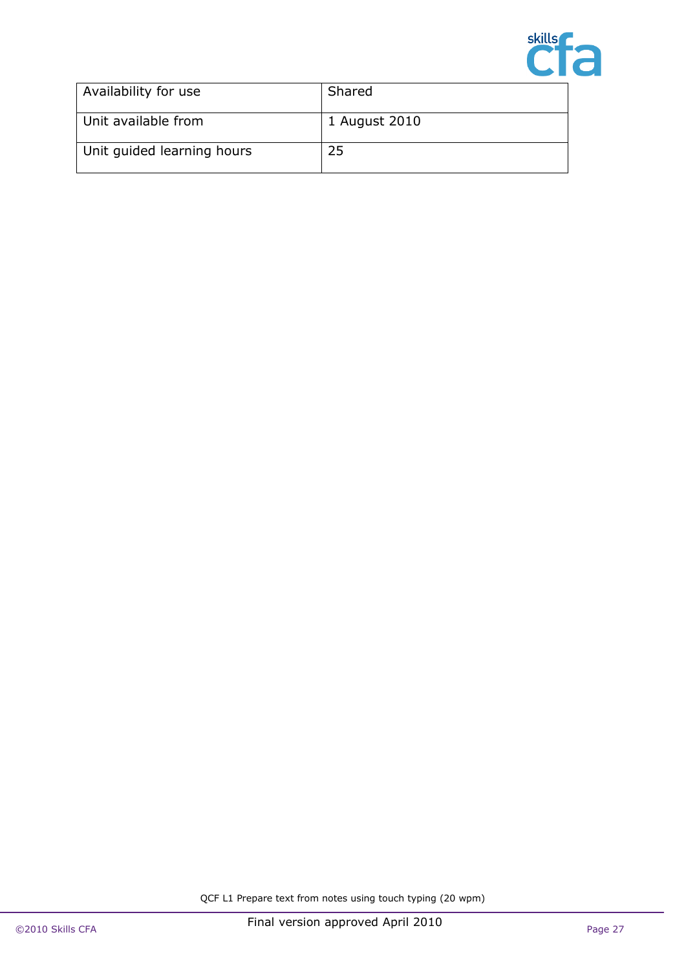

| Availability for use       | Shared        |
|----------------------------|---------------|
| Unit available from        | 1 August 2010 |
| Unit quided learning hours | 25            |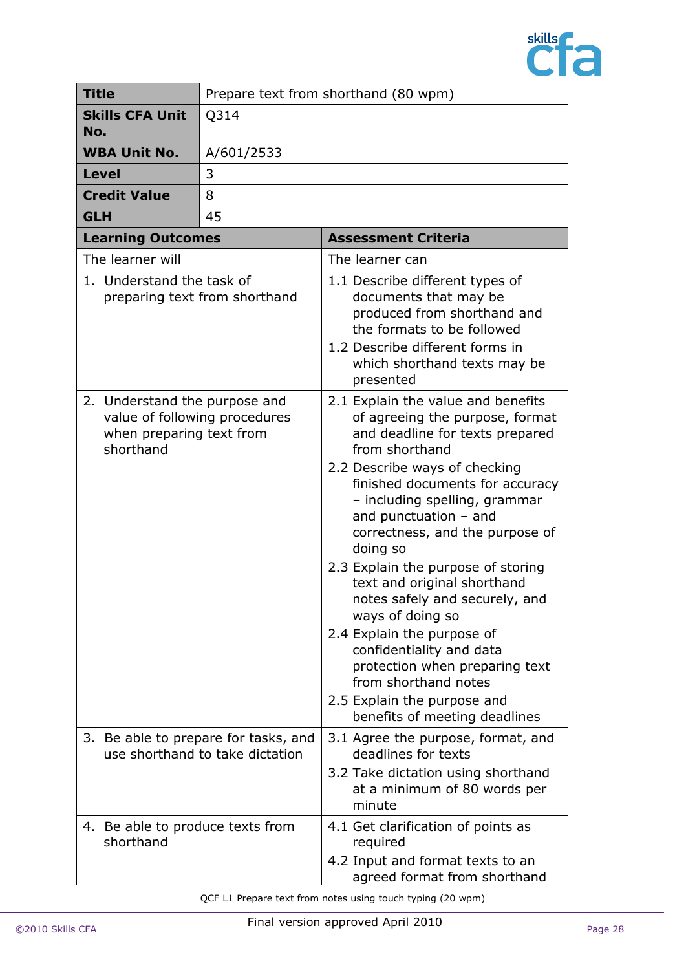

|                  | <b>Title</b>                                                                                            | Prepare text from shorthand (80 wpm)                                    |                                                                                                                                                                                                                                                                                                                                                                                                                                                                                                                                                                                                                          |  |
|------------------|---------------------------------------------------------------------------------------------------------|-------------------------------------------------------------------------|--------------------------------------------------------------------------------------------------------------------------------------------------------------------------------------------------------------------------------------------------------------------------------------------------------------------------------------------------------------------------------------------------------------------------------------------------------------------------------------------------------------------------------------------------------------------------------------------------------------------------|--|
| No.              | <b>Skills CFA Unit</b>                                                                                  | Q314                                                                    |                                                                                                                                                                                                                                                                                                                                                                                                                                                                                                                                                                                                                          |  |
|                  | <b>WBA Unit No.</b>                                                                                     | A/601/2533                                                              |                                                                                                                                                                                                                                                                                                                                                                                                                                                                                                                                                                                                                          |  |
|                  | <b>Level</b>                                                                                            | 3                                                                       |                                                                                                                                                                                                                                                                                                                                                                                                                                                                                                                                                                                                                          |  |
|                  | <b>Credit Value</b><br>8                                                                                |                                                                         |                                                                                                                                                                                                                                                                                                                                                                                                                                                                                                                                                                                                                          |  |
| <b>GLH</b>       |                                                                                                         | 45                                                                      |                                                                                                                                                                                                                                                                                                                                                                                                                                                                                                                                                                                                                          |  |
|                  | <b>Learning Outcomes</b>                                                                                |                                                                         | <b>Assessment Criteria</b>                                                                                                                                                                                                                                                                                                                                                                                                                                                                                                                                                                                               |  |
| The learner will |                                                                                                         |                                                                         | The learner can                                                                                                                                                                                                                                                                                                                                                                                                                                                                                                                                                                                                          |  |
|                  | 1. Understand the task of                                                                               | preparing text from shorthand                                           | 1.1 Describe different types of<br>documents that may be<br>produced from shorthand and<br>the formats to be followed<br>1.2 Describe different forms in<br>which shorthand texts may be<br>presented                                                                                                                                                                                                                                                                                                                                                                                                                    |  |
|                  | 2. Understand the purpose and<br>value of following procedures<br>when preparing text from<br>shorthand |                                                                         | 2.1 Explain the value and benefits<br>of agreeing the purpose, format<br>and deadline for texts prepared<br>from shorthand<br>2.2 Describe ways of checking<br>finished documents for accuracy<br>- including spelling, grammar<br>and punctuation $-$ and<br>correctness, and the purpose of<br>doing so<br>2.3 Explain the purpose of storing<br>text and original shorthand<br>notes safely and securely, and<br>ways of doing so<br>2.4 Explain the purpose of<br>confidentiality and data<br>protection when preparing text<br>from shorthand notes<br>2.5 Explain the purpose and<br>benefits of meeting deadlines |  |
|                  |                                                                                                         | 3. Be able to prepare for tasks, and<br>use shorthand to take dictation | 3.1 Agree the purpose, format, and<br>deadlines for texts<br>3.2 Take dictation using shorthand<br>at a minimum of 80 words per<br>minute                                                                                                                                                                                                                                                                                                                                                                                                                                                                                |  |
|                  | 4. Be able to produce texts from<br>shorthand                                                           |                                                                         | 4.1 Get clarification of points as<br>required<br>4.2 Input and format texts to an<br>agreed format from shorthand                                                                                                                                                                                                                                                                                                                                                                                                                                                                                                       |  |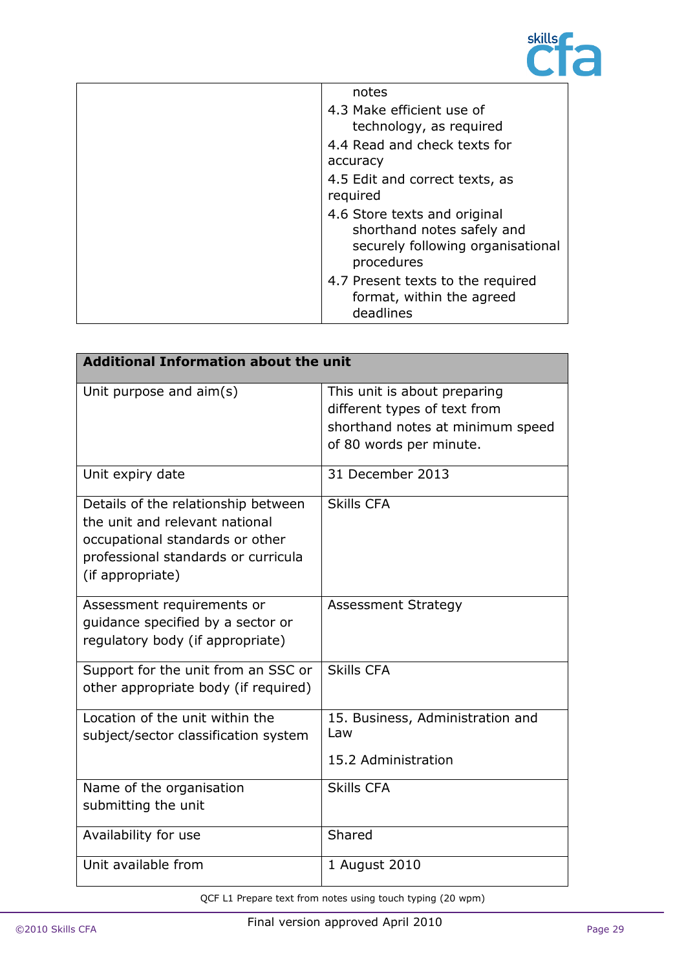

| notes                                                                                                         |
|---------------------------------------------------------------------------------------------------------------|
| 4.3 Make efficient use of                                                                                     |
| technology, as required                                                                                       |
| 4.4 Read and check texts for                                                                                  |
| accuracy                                                                                                      |
| 4.5 Edit and correct texts, as<br>required                                                                    |
|                                                                                                               |
| 4.6 Store texts and original<br>shorthand notes safely and<br>securely following organisational<br>procedures |
| 4.7 Present texts to the required<br>format, within the agreed<br>deadlines                                   |

| <b>Additional Information about the unit</b>                                                                                                                        |                                                                                                                             |  |
|---------------------------------------------------------------------------------------------------------------------------------------------------------------------|-----------------------------------------------------------------------------------------------------------------------------|--|
| Unit purpose and $\text{aim}(s)$                                                                                                                                    | This unit is about preparing<br>different types of text from<br>shorthand notes at minimum speed<br>of 80 words per minute. |  |
| Unit expiry date                                                                                                                                                    | 31 December 2013                                                                                                            |  |
| Details of the relationship between<br>the unit and relevant national<br>occupational standards or other<br>professional standards or curricula<br>(if appropriate) | <b>Skills CFA</b>                                                                                                           |  |
| Assessment requirements or<br>quidance specified by a sector or<br>regulatory body (if appropriate)                                                                 | <b>Assessment Strategy</b>                                                                                                  |  |
| Support for the unit from an SSC or<br>other appropriate body (if required)                                                                                         | <b>Skills CFA</b>                                                                                                           |  |
| Location of the unit within the<br>subject/sector classification system                                                                                             | 15. Business, Administration and<br>Law<br>15.2 Administration                                                              |  |
| Name of the organisation<br>submitting the unit                                                                                                                     | <b>Skills CFA</b>                                                                                                           |  |
| Availability for use                                                                                                                                                | Shared                                                                                                                      |  |
| Unit available from                                                                                                                                                 | 1 August 2010                                                                                                               |  |